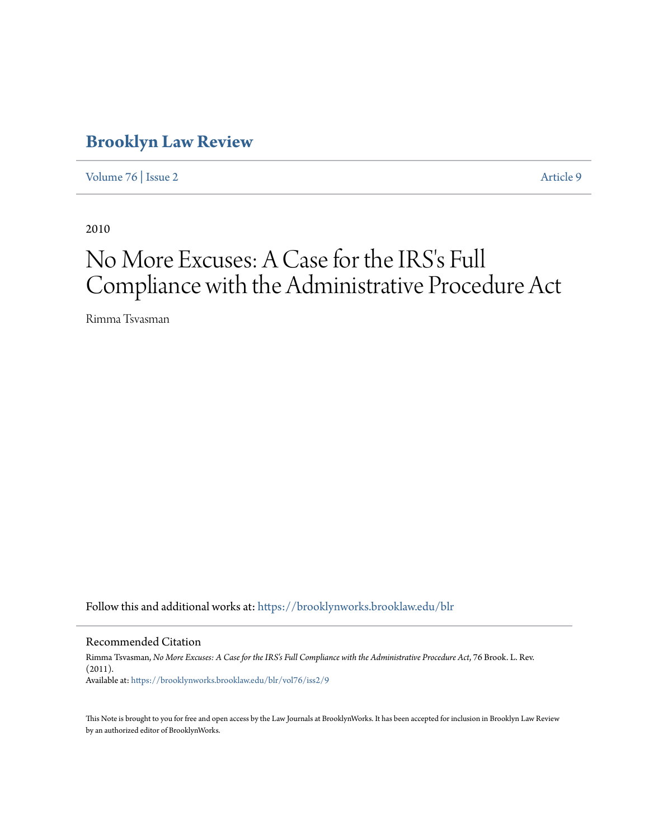# **[Brooklyn Law Review](https://brooklynworks.brooklaw.edu/blr?utm_source=brooklynworks.brooklaw.edu%2Fblr%2Fvol76%2Fiss2%2F9&utm_medium=PDF&utm_campaign=PDFCoverPages)**

[Volume 76](https://brooklynworks.brooklaw.edu/blr/vol76?utm_source=brooklynworks.brooklaw.edu%2Fblr%2Fvol76%2Fiss2%2F9&utm_medium=PDF&utm_campaign=PDFCoverPages) | [Issue 2](https://brooklynworks.brooklaw.edu/blr/vol76/iss2?utm_source=brooklynworks.brooklaw.edu%2Fblr%2Fvol76%2Fiss2%2F9&utm_medium=PDF&utm_campaign=PDFCoverPages) [Article 9](https://brooklynworks.brooklaw.edu/blr/vol76/iss2/9?utm_source=brooklynworks.brooklaw.edu%2Fblr%2Fvol76%2Fiss2%2F9&utm_medium=PDF&utm_campaign=PDFCoverPages)

2010

# No More Excuses: A Case for the IRS's Full Compliance with the Administrative Procedure Act

Rimma Tsvasman

Follow this and additional works at: [https://brooklynworks.brooklaw.edu/blr](https://brooklynworks.brooklaw.edu/blr?utm_source=brooklynworks.brooklaw.edu%2Fblr%2Fvol76%2Fiss2%2F9&utm_medium=PDF&utm_campaign=PDFCoverPages)

## Recommended Citation

Rimma Tsvasman, *No More Excuses: A Case for the IRS's Full Compliance with the Administrative Procedure Act*, 76 Brook. L. Rev. (2011). Available at: [https://brooklynworks.brooklaw.edu/blr/vol76/iss2/9](https://brooklynworks.brooklaw.edu/blr/vol76/iss2/9?utm_source=brooklynworks.brooklaw.edu%2Fblr%2Fvol76%2Fiss2%2F9&utm_medium=PDF&utm_campaign=PDFCoverPages)

This Note is brought to you for free and open access by the Law Journals at BrooklynWorks. It has been accepted for inclusion in Brooklyn Law Review by an authorized editor of BrooklynWorks.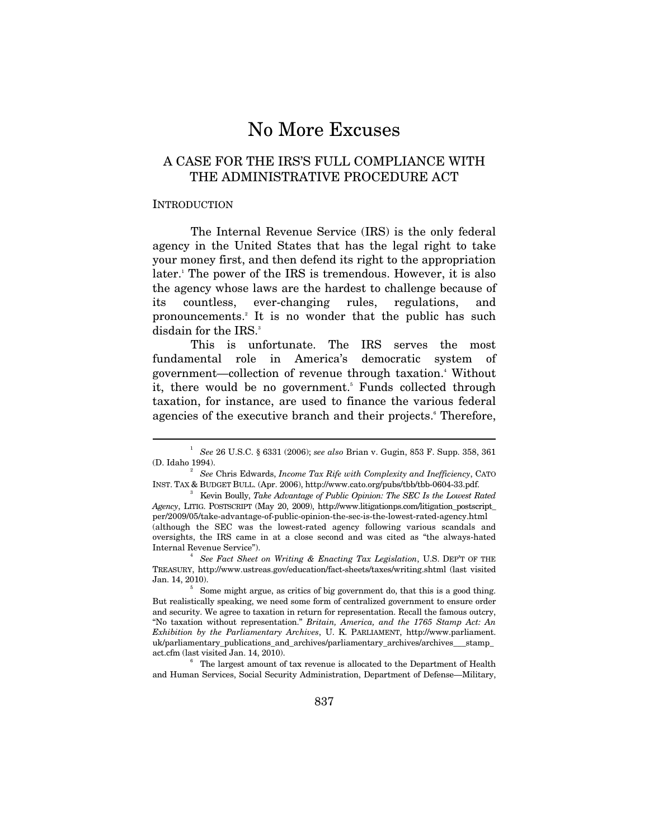# No More Excuses

# A CASE FOR THE IRS'S FULL COMPLIANCE WITH THE ADMINISTRATIVE PROCEDURE ACT

#### **INTRODUCTION**

 $\overline{a}$ 

The Internal Revenue Service (IRS) is the only federal agency in the United States that has the legal right to take your money first, and then defend its right to the appropriation later.<sup>1</sup> The power of the IRS is tremendous. However, it is also the agency whose laws are the hardest to challenge because of its countless, ever-changing rules, regulations, and pronouncements.2 It is no wonder that the public has such disdain for the IRS.<sup>3</sup>

This is unfortunate. The IRS serves the most fundamental role in America's democratic system of government—collection of revenue through taxation.4 Without it, there would be no government.<sup>5</sup> Funds collected through taxation, for instance, are used to finance the various federal agencies of the executive branch and their projects. Therefore,

<sup>1</sup>  *See* 26 U.S.C. § 6331 (2006); *see also* Brian v. Gugin, 853 F. Supp. 358, 361 (D. Idaho 1994). 2 *See* Chris Edwards, *Income Tax Rife with Complexity and Inefficiency*, CATO

INST. TAX & BUDGET BULL. (Apr. 2006), http://www.cato.org/pubs/tbb/tbb-0604-33.pdf. 3

Kevin Boully, *Take Advantage of Public Opinion: The SEC Is the Lowest Rated Agency*, LITIG. POSTSCRIPT (May 20, 2009), http://www.litigationps.com/litigation\_postscript\_ per/2009/05/take-advantage-of-public-opinion-the-sec-is-the-lowest-rated-agency.html (although the SEC was the lowest-rated agency following various scandals and oversights, the IRS came in at a close second and was cited as "the always-hated Internal Revenue Service"). 4

*See Fact Sheet on Writing & Enacting Tax Legislation*, U.S. DEP'T OF THE TREASURY, http://www.ustreas.gov/education/fact-sheets/taxes/writing.shtml (last visited Jan. 14, 2010).

Some might argue, as critics of big government do, that this is a good thing. But realistically speaking, we need some form of centralized government to ensure order and security. We agree to taxation in return for representation. Recall the famous outcry, "No taxation without representation." *Britain, America, and the 1765 Stamp Act: An Exhibition by the Parliamentary Archives*, U. K. PARLIAMENT, http://www.parliament. uk/parliamentary\_publications\_and\_archives/parliamentary\_archives/archives\_\_\_stamp\_ act.cfm (last visited Jan. 14, 2010).

 $^{\rm 6}\,$  The largest amount of tax revenue is allocated to the Department of Health and Human Services, Social Security Administration, Department of Defense—Military,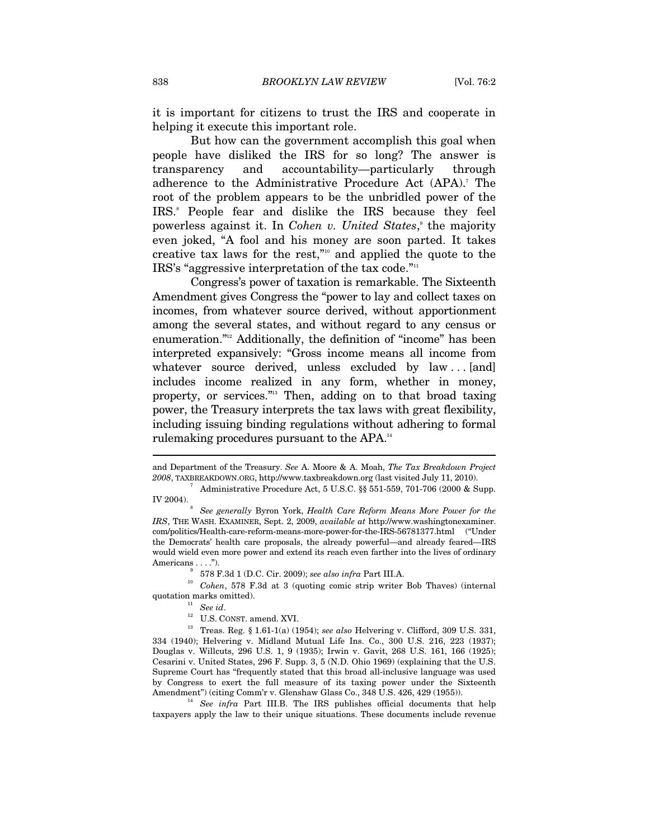it is important for citizens to trust the IRS and cooperate in helping it execute this important role.

But how can the government accomplish this goal when people have disliked the IRS for so long? The answer is transparency and accountability—particularly through adherence to the Administrative Procedure Act (APA).<sup>7</sup> The root of the problem appears to be the unbridled power of the IRS.<sup>8</sup> People fear and dislike the IRS because they feel powerless against it. In *Cohen v. United States*,<sup>9</sup> the majority even joked, "A fool and his money are soon parted. It takes creative tax laws for the rest," $\omega$  and applied the quote to the IRS's "aggressive interpretation of the tax code."11

Congress's power of taxation is remarkable. The Sixteenth Amendment gives Congress the "power to lay and collect taxes on incomes, from whatever source derived, without apportionment among the several states, and without regard to any census or enumeration."12 Additionally, the definition of "income" has been interpreted expansively: "Gross income means all income from whatever source derived, unless excluded by law ... [and] includes income realized in any form, whether in money, property, or services."13 Then, adding on to that broad taxing power, the Treasury interprets the tax laws with great flexibility, including issuing binding regulations without adhering to formal rulemaking procedures pursuant to the APA.14

and Department of the Treasury. *See* A. Moore & A. Moah, *The Tax Breakdown Project <sup>2008</sup>*, TAXBREAKDOWN.ORG, http://www.taxbreakdown.org (last visited July 11, 2010). 7

Administrative Procedure Act, 5 U.S.C. §§ 551-559, 701-706 (2000 & Supp. IV 2004).

*See generally* Byron York, *Health Care Reform Means More Power for the IRS*, THE WASH. EXAMINER, Sept. 2, 2009, *available at* http://www.washingtonexaminer. com/politics/Health-care-reform-means-more-power-for-the-IRS-56781377.html ("Under the Democrats' health care proposals, the already powerful—and already feared—IRS would wield even more power and extend its reach even farther into the lives of ordinary Americans . . . .").<br><sup>9</sup> 578 F.3d 1 (D.C. Cir. 2009); see also infra Part III.A.

 <sup>578</sup> F.3d 1 (D.C. Cir. 2009); *see also infra* Part III.A. 10 *Cohen*, 578 F.3d at 3 (quoting comic strip writer Bob Thaves) (internal quotation marks omitted).<br><sup>11</sup> *See id*.<br><sup>12</sup> U.S. CONST. amend. XVI.<br><sup>13</sup> Treas. Reg. § 1.61-1(a) (1954); *see also* Helvering v. Clifford, 309 U.S. 331,

<sup>334 (1940);</sup> Helvering v. Midland Mutual Life Ins. Co., 300 U.S. 216, 223 (1937); Douglas v. Willcuts, 296 U.S. 1, 9 (1935); Irwin v. Gavit, 268 U.S. 161, 166 (1925); Cesarini v. United States, 296 F. Supp. 3, 5 (N.D. Ohio 1969) (explaining that the U.S. Supreme Court has "frequently stated that this broad all-inclusive language was used by Congress to exert the full measure of its taxing power under the Sixteenth Amendment") (citing Comm'r v. Glenshaw Glass Co., 348 U.S. 426, 429 (1955)).

<sup>&</sup>lt;sup>14</sup> See infra Part III.B. The IRS publishes official documents that help taxpayers apply the law to their unique situations. These documents include revenue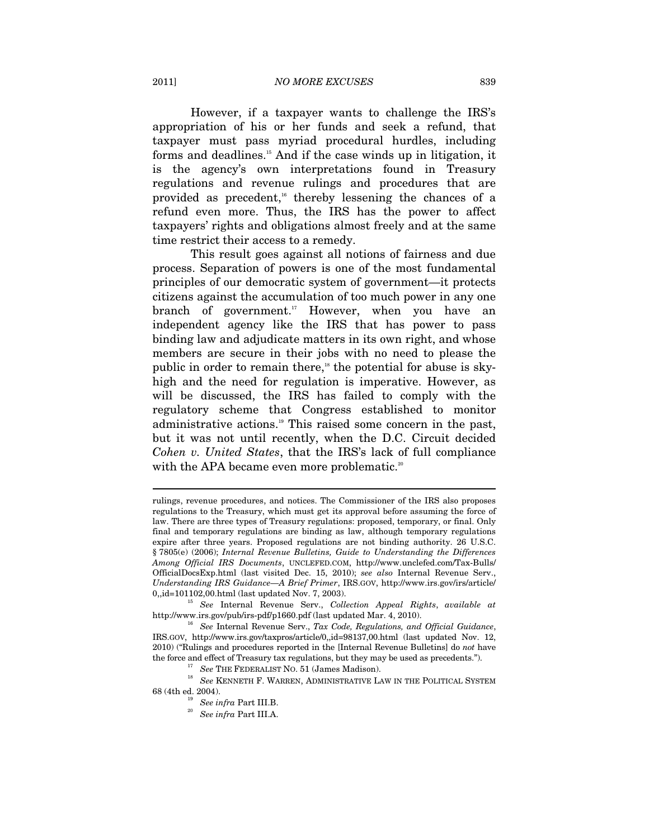However, if a taxpayer wants to challenge the IRS's appropriation of his or her funds and seek a refund, that taxpayer must pass myriad procedural hurdles, including forms and deadlines.15 And if the case winds up in litigation, it is the agency's own interpretations found in Treasury regulations and revenue rulings and procedures that are provided as precedent,<sup>16</sup> thereby lessening the chances of a refund even more. Thus, the IRS has the power to affect taxpayers' rights and obligations almost freely and at the same time restrict their access to a remedy.

This result goes against all notions of fairness and due process. Separation of powers is one of the most fundamental principles of our democratic system of government—it protects citizens against the accumulation of too much power in any one branch of government.<sup>17</sup> However, when you have an independent agency like the IRS that has power to pass binding law and adjudicate matters in its own right, and whose members are secure in their jobs with no need to please the public in order to remain there, $^{\text{18}}$  the potential for abuse is skyhigh and the need for regulation is imperative. However, as will be discussed, the IRS has failed to comply with the regulatory scheme that Congress established to monitor administrative actions.19 This raised some concern in the past, but it was not until recently, when the D.C. Circuit decided *Cohen v. United States*, that the IRS's lack of full compliance with the APA became even more problematic.<sup>20</sup>

rulings, revenue procedures, and notices. The Commissioner of the IRS also proposes regulations to the Treasury, which must get its approval before assuming the force of law. There are three types of Treasury regulations: proposed, temporary, or final. Only final and temporary regulations are binding as law, although temporary regulations expire after three years. Proposed regulations are not binding authority. 26 U.S.C. § 7805(e) (2006); *Internal Revenue Bulletins, Guide to Understanding the Differences Among Official IRS Documents*, UNCLEFED.COM, http://www.unclefed.com/Tax-Bulls/ OfficialDocsExp.html (last visited Dec. 15, 2010); *see also* Internal Revenue Serv., *Understanding IRS Guidance—A Brief Primer*, IRS.GOV, http://www.irs.gov/irs/article/

<sup>0,,</sup>id=101102,00.html (last updated Nov. 7, 2003). 15 *See* Internal Revenue Serv., *Collection Appeal Rights*, *available at* http://www.irs.gov/pub/irs-pdf/p1660.pdf (last updated Mar. 4, 2010). 16 *See* Internal Revenue Serv., *Tax Code, Regulations, and Official Guidance*,

IRS.GOV, http://www.irs.gov/taxpros/article/0,,id=98137,00.html (last updated Nov. 12, 2010) ("Rulings and procedures reported in the [Internal Revenue Bulletins] do *not* have

<sup>&</sup>lt;sup>17</sup> See THE FEDERALIST NO. 51 (James Madison). <sup>17</sup> See KENNETH F. WARREN, ADMINISTRATIVE LAW IN THE POLITICAL SYSTEM 68 (4th ed. 2004). 19 *See infra* Part III.B. 20 *See infra* Part III.A.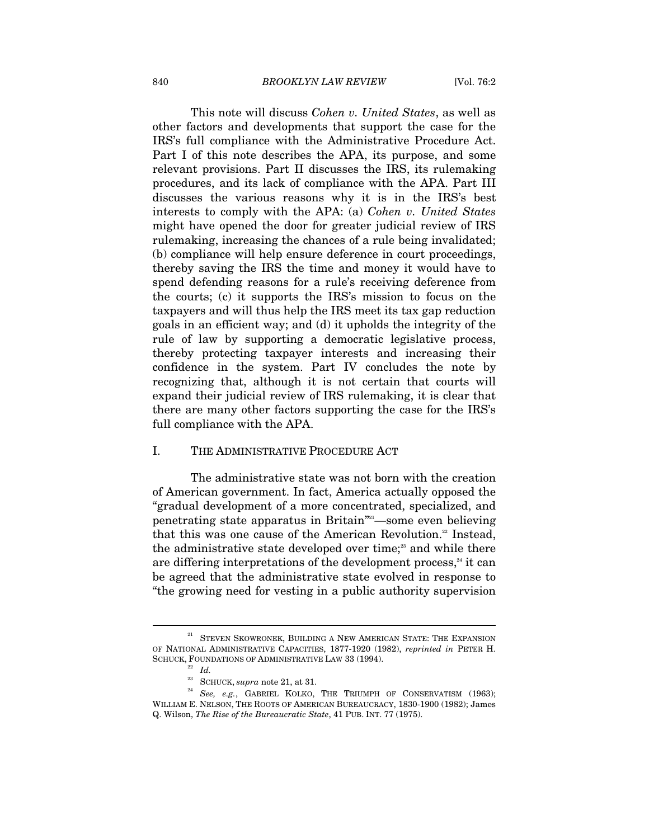This note will discuss *Cohen v. United States*, as well as other factors and developments that support the case for the IRS's full compliance with the Administrative Procedure Act. Part I of this note describes the APA, its purpose, and some relevant provisions. Part II discusses the IRS, its rulemaking procedures, and its lack of compliance with the APA. Part III discusses the various reasons why it is in the IRS's best interests to comply with the APA: (a) *Cohen v. United States* might have opened the door for greater judicial review of IRS rulemaking, increasing the chances of a rule being invalidated; (b) compliance will help ensure deference in court proceedings, thereby saving the IRS the time and money it would have to spend defending reasons for a rule's receiving deference from the courts; (c) it supports the IRS's mission to focus on the taxpayers and will thus help the IRS meet its tax gap reduction goals in an efficient way; and (d) it upholds the integrity of the rule of law by supporting a democratic legislative process, thereby protecting taxpayer interests and increasing their confidence in the system. Part IV concludes the note by recognizing that, although it is not certain that courts will expand their judicial review of IRS rulemaking, it is clear that there are many other factors supporting the case for the IRS's full compliance with the APA.

#### I. THE ADMINISTRATIVE PROCEDURE ACT

The administrative state was not born with the creation of American government. In fact, America actually opposed the "gradual development of a more concentrated, specialized, and penetrating state apparatus in Britain"21—some even believing that this was one cause of the American Revolution.<sup>22</sup> Instead, the administrative state developed over time;<sup>23</sup> and while there are differing interpretations of the development process, $24$  it can be agreed that the administrative state evolved in response to "the growing need for vesting in a public authority supervision

 $^\mathrm{21}$  STEVEN SKOWRONEK, BUILDING A NEW AMERICAN STATE: THE EXPANSION OF NATIONAL ADMINISTRATIVE CAPACITIES, 1877-1920 (1982), *reprinted in* PETER H. SCHUCK, FOUNDATIONS OF ADMINISTRATIVE LAW 33 (1994).

 $\frac{22}{23}$  *Id.*<br><sup>23</sup> SCHUCK, *supra* note 21, at 31.

<sup>24</sup> *See, e.g.*, GABRIEL KOLKO, THE TRIUMPH OF CONSERVATISM (1963); WILLIAM E. NELSON, THE ROOTS OF AMERICAN BUREAUCRACY, 1830-1900 (1982); James Q. Wilson, *The Rise of the Bureaucratic State*, 41 PUB. INT. 77 (1975).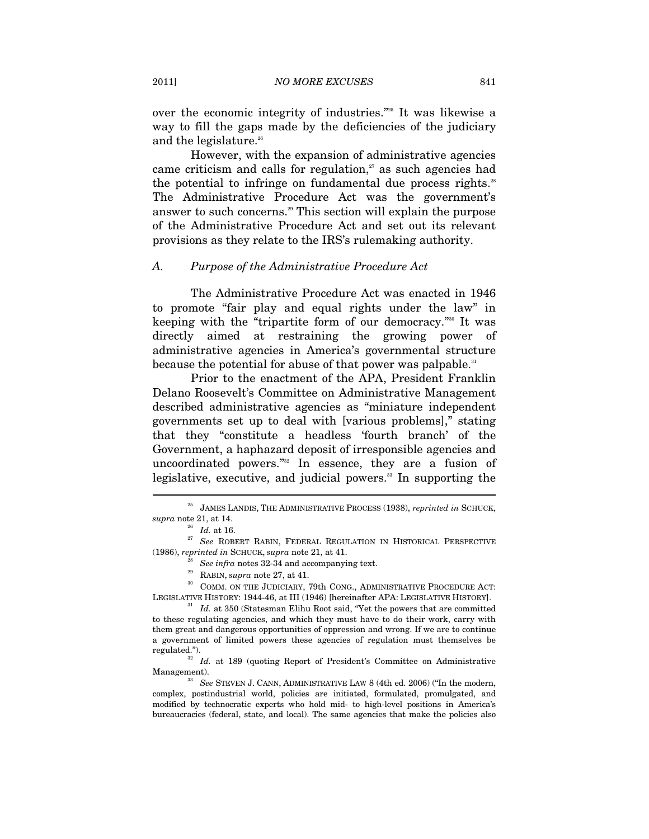over the economic integrity of industries."25 It was likewise a way to fill the gaps made by the deficiencies of the judiciary and the legislature.<sup>26</sup>

However, with the expansion of administrative agencies came criticism and calls for regulation, $27$  as such agencies had the potential to infringe on fundamental due process rights.<sup>28</sup> The Administrative Procedure Act was the government's answer to such concerns.<sup>29</sup> This section will explain the purpose of the Administrative Procedure Act and set out its relevant provisions as they relate to the IRS's rulemaking authority.

#### *A. Purpose of the Administrative Procedure Act*

The Administrative Procedure Act was enacted in 1946 to promote "fair play and equal rights under the law" in keeping with the "tripartite form of our democracy."30 It was directly aimed at restraining the growing power of administrative agencies in America's governmental structure because the potential for abuse of that power was palpable.<sup>31</sup>

Prior to the enactment of the APA, President Franklin Delano Roosevelt's Committee on Administrative Management described administrative agencies as "miniature independent governments set up to deal with [various problems]," stating that they "constitute a headless 'fourth branch' of the Government, a haphazard deposit of irresponsible agencies and uncoordinated powers."<sup>32</sup> In essence, they are a fusion of legislative, executive, and judicial powers.<sup>33</sup> In supporting the

 $\overline{a}$ 

LEGISLATIVE HISTORY: 1944-46, at III (1946) [hereinafter APA: LEGISLATIVE HISTORY]. 31 *Id.* at 350 (Statesman Elihu Root said, "Yet the powers that are committed

complex, postindustrial world, policies are initiated, formulated, promulgated, and modified by technocratic experts who hold mid- to high-level positions in America's bureaucracies (federal, state, and local). The same agencies that make the policies also

 $^\mathrm{25}$  JAMES LANDIS, THE ADMINISTRATIVE PROCESS (1938),  $reprinted$  in SCHUCK,  $supra$  note 21, at 14.

<sup>&</sup>lt;sup>26</sup> *Id.* at 16. 27 *See* ROBERT RABIN, FEDERAL REGULATION IN HISTORICAL PERSPECTIVE % (1986), reprinted in SCHUCK, supra note 21, at 41.<br>  $^{28}$  See infra notes 32-34 and accompanying text.<br>  $^{29}$  RABIN, supra note 27, at 41.<br>  $^{29}$  COMM. ON THE JUDICIARY, 79th CONG., ADMINISTRATIVE PROCEDURE ACT:

to these regulating agencies, and which they must have to do their work, carry with them great and dangerous opportunities of oppression and wrong. If we are to continue a government of limited powers these agencies of regulation must themselves be

<sup>&</sup>lt;sup>32</sup> *Id.* at 189 (quoting Report of President's Committee on Administrative Management). <sup>33</sup> *See* STEVEN J. CANN, ADMINISTRATIVE LAW 8 (4th ed. 2006) ("In the modern,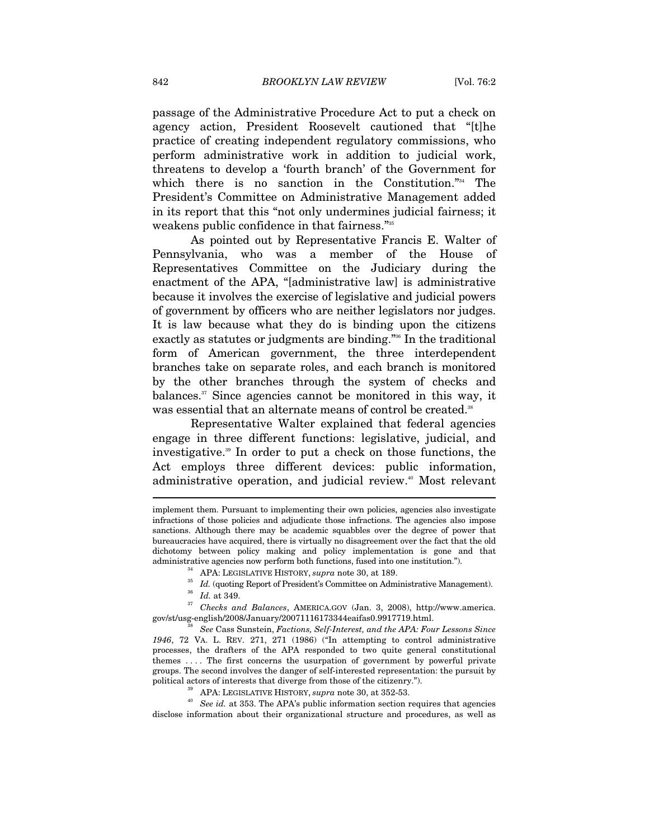passage of the Administrative Procedure Act to put a check on agency action, President Roosevelt cautioned that "[t]he practice of creating independent regulatory commissions, who perform administrative work in addition to judicial work, threatens to develop a 'fourth branch' of the Government for which there is no sanction in the Constitution."<sup>34</sup> The President's Committee on Administrative Management added in its report that this "not only undermines judicial fairness; it weakens public confidence in that fairness."35

As pointed out by Representative Francis E. Walter of Pennsylvania, who was a member of the House of Representatives Committee on the Judiciary during the enactment of the APA, "[administrative law] is administrative because it involves the exercise of legislative and judicial powers of government by officers who are neither legislators nor judges. It is law because what they do is binding upon the citizens exactly as statutes or judgments are binding."36 In the traditional form of American government, the three interdependent branches take on separate roles, and each branch is monitored by the other branches through the system of checks and balances.<sup>37</sup> Since agencies cannot be monitored in this way, it was essential that an alternate means of control be created.<sup>38</sup>

Representative Walter explained that federal agencies engage in three different functions: legislative, judicial, and investigative.<sup>39</sup> In order to put a check on those functions, the Act employs three different devices: public information, administrative operation, and judicial review.40 Most relevant

implement them. Pursuant to implementing their own policies, agencies also investigate infractions of those policies and adjudicate those infractions. The agencies also impose sanctions. Although there may be academic squabbles over the degree of power that bureaucracies have acquired, there is virtually no disagreement over the fact that the old dichotomy between policy making and policy implementation is gone and that

<sup>%</sup> administrative agencies now perform both functions, fused into one institution.").<br>
<sup>34</sup> APA: LEGISLATIVE HISTORY, *supra* note 30, at 189.<br>
<sup>35</sup> Id. (quoting Report of President's Committee on Administrative Management

gov/st/usg-english/2008/January/20071116173344eaifas0.9917719.html. 38 *See* Cass Sunstein, *Factions, Self-Interest, and the APA: Four Lessons Since* 

*<sup>1946</sup>*, 72 VA. L. REV. 271, 271 (1986) ("In attempting to control administrative processes, the drafters of the APA responded to two quite general constitutional themes . . . . The first concerns the usurpation of government by powerful private groups. The second involves the danger of self-interested representation: the pursuit by

political actors of interests that diverge from those of the citizenry.").<br><sup>39</sup> APA: LEGISLATIVE HISTORY, *supra* note 30, at 352-53.<br><sup>40</sup> See id. at 353. The APA's public information section requires that agencies disclose information about their organizational structure and procedures, as well as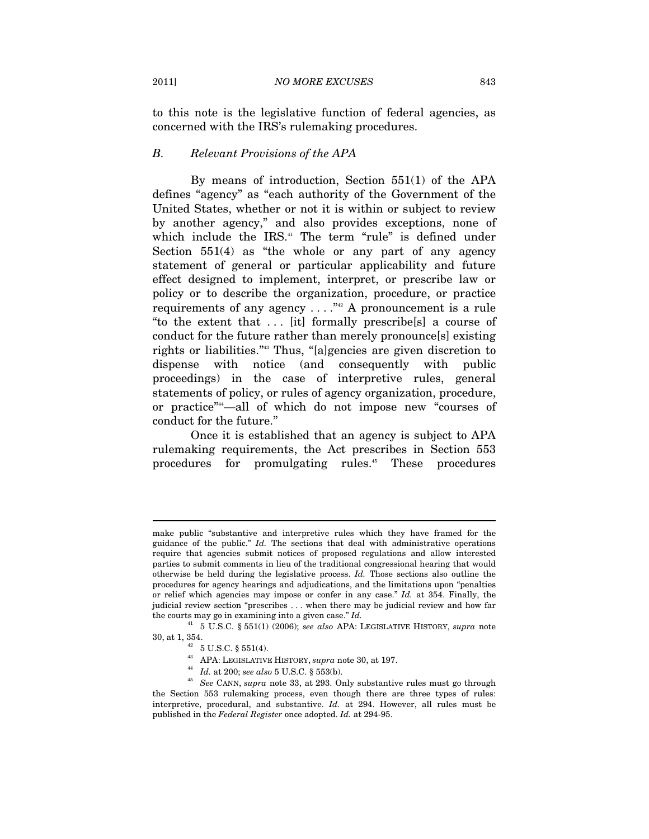to this note is the legislative function of federal agencies, as concerned with the IRS's rulemaking procedures.

#### *B. Relevant Provisions of the APA*

By means of introduction, Section 551(1) of the APA defines "agency" as "each authority of the Government of the United States, whether or not it is within or subject to review by another agency," and also provides exceptions, none of which include the IRS.<sup>41</sup> The term "rule" is defined under Section 551(4) as "the whole or any part of any agency statement of general or particular applicability and future effect designed to implement, interpret, or prescribe law or policy or to describe the organization, procedure, or practice requirements of any agency . . . ."42 A pronouncement is a rule "to the extent that . . . [it] formally prescribe[s] a course of conduct for the future rather than merely pronounce[s] existing rights or liabilities."43 Thus, "[a]gencies are given discretion to dispense with notice (and consequently with public proceedings) in the case of interpretive rules, general statements of policy, or rules of agency organization, procedure, or practice"44—all of which do not impose new "courses of conduct for the future."

Once it is established that an agency is subject to APA rulemaking requirements, the Act prescribes in Section 553 procedures for promulgating rules.45 These procedures

make public "substantive and interpretive rules which they have framed for the guidance of the public." *Id.* The sections that deal with administrative operations require that agencies submit notices of proposed regulations and allow interested parties to submit comments in lieu of the traditional congressional hearing that would otherwise be held during the legislative process. *Id.* Those sections also outline the procedures for agency hearings and adjudications, and the limitations upon "penalties or relief which agencies may impose or confer in any case." *Id.* at 354. Finally, the judicial review section "prescribes . . . when there may be judicial review and how far the courts may go in examining into a given case." *Id.*

<sup>41</sup> 5 U.S.C. § 551(1) (2006); *see also* APA: LEGISLATIVE HISTORY, *supra* note 30, at 1, 354.  $^{^{42}}$  5 U.S.C. § 551(4).  $^{^{43}}$  APA: LEGISLATIVE HISTORY,  $supra$  note 30, at 197.

<sup>43</sup> APA: LEGISLATIVE HISTORY, *supra* note 30, at 197. 44 *Id.* at 200; *see also* 5 U.S.C. § 553(b). 45 *See* CANN, *supra* note 33, at 293. Only substantive rules must go through the Section 553 rulemaking process, even though there are three types of rules: interpretive, procedural, and substantive. *Id.* at 294. However, all rules must be published in the *Federal Register* once adopted. *Id.* at 294-95.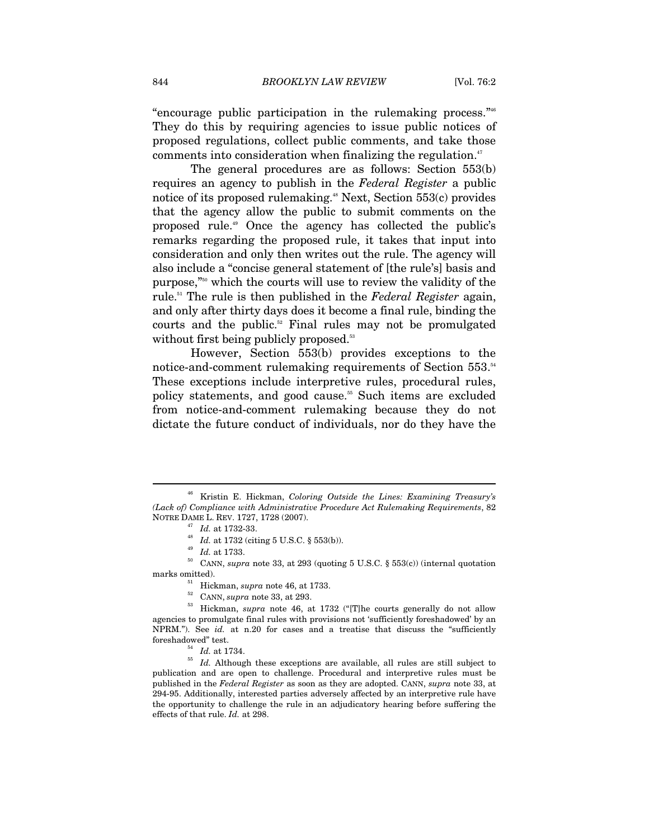"encourage public participation in the rulemaking process."46 They do this by requiring agencies to issue public notices of proposed regulations, collect public comments, and take those comments into consideration when finalizing the regulation.<sup>47</sup>

The general procedures are as follows: Section 553(b) requires an agency to publish in the *Federal Register* a public notice of its proposed rulemaking.<sup>48</sup> Next, Section  $553(c)$  provides that the agency allow the public to submit comments on the proposed rule.49 Once the agency has collected the public's remarks regarding the proposed rule, it takes that input into consideration and only then writes out the rule. The agency will also include a "concise general statement of [the rule's] basis and purpose,"50 which the courts will use to review the validity of the rule.51 The rule is then published in the *Federal Register* again, and only after thirty days does it become a final rule, binding the courts and the public.<sup>52</sup> Final rules may not be promulgated without first being publicly proposed.<sup>53</sup>

However, Section 553(b) provides exceptions to the notice-and-comment rulemaking requirements of Section 553.<sup>54</sup> These exceptions include interpretive rules, procedural rules, policy statements, and good cause.<sup>55</sup> Such items are excluded from notice-and-comment rulemaking because they do not dictate the future conduct of individuals, nor do they have the

<sup>46</sup> Kristin E. Hickman, *Coloring Outside the Lines: Examining Treasury's (Lack of) Compliance with Administrative Procedure Act Rulemaking Requirements*, 82 NOTRE DAME L. REV. 1727, 1728 (2007).

<sup>&</sup>lt;sup>47</sup> *Id.* at 1732-33.<br><sup>48</sup> *Id.* at 1732 (citing 5 U.S.C. § 553(b)).<br><sup>49</sup> *Id.* at 1733.<br><sup>50</sup> CANN, *supra* note 33, at 293 (quoting 5 U.S.C. § 553(c)) (internal quotation marks omitted).<br><sup>51</sup> Hickman, *supra* note 46, at 1733.<br><sup>52</sup> CANN, *supra* note 33, at 293.<br><sup>53</sup> Hickman, *supra* note 46, at 1732 ("[T]he courts generally do not allow

agencies to promulgate final rules with provisions not 'sufficiently foreshadowed' by an NPRM."). See *id.* at n.20 for cases and a treatise that discuss the "sufficiently % foreshadowed" test.  $Id.$  at 1734.<br><sup>54</sup> *Id.* Although these exceptions are available, all rules are still subject to

publication and are open to challenge. Procedural and interpretive rules must be published in the *Federal Register* as soon as they are adopted. CANN, *supra* note 33, at 294-95. Additionally, interested parties adversely affected by an interpretive rule have the opportunity to challenge the rule in an adjudicatory hearing before suffering the effects of that rule. *Id.* at 298.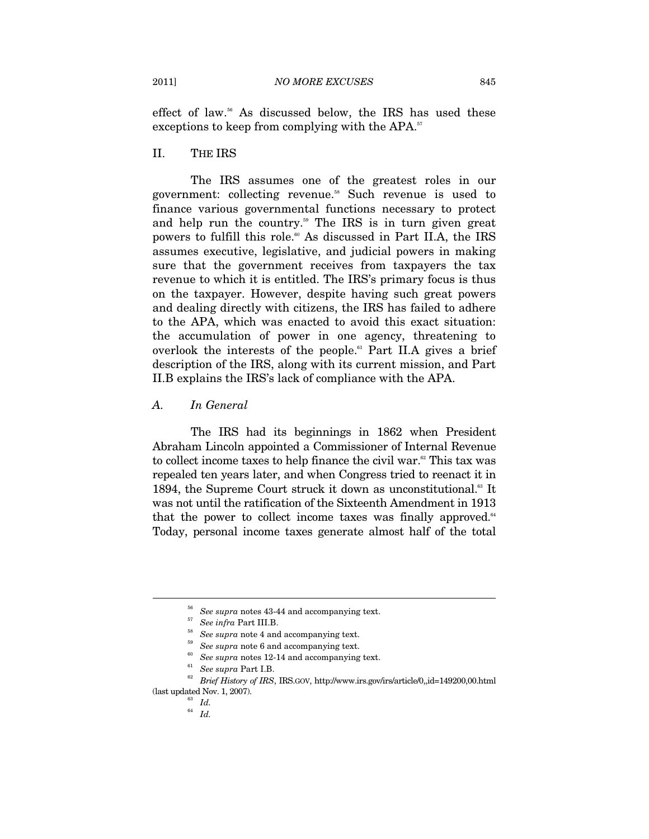effect of law.<sup>56</sup> As discussed below, the IRS has used these exceptions to keep from complying with the APA.<sup>57</sup>

#### II. THE IRS

The IRS assumes one of the greatest roles in our government: collecting revenue.58 Such revenue is used to finance various governmental functions necessary to protect and help run the country.<sup>59</sup> The IRS is in turn given great powers to fulfill this role.<sup>60</sup> As discussed in Part II.A, the IRS assumes executive, legislative, and judicial powers in making sure that the government receives from taxpayers the tax revenue to which it is entitled. The IRS's primary focus is thus on the taxpayer. However, despite having such great powers and dealing directly with citizens, the IRS has failed to adhere to the APA, which was enacted to avoid this exact situation: the accumulation of power in one agency, threatening to overlook the interests of the people.<sup>61</sup> Part II.A gives a brief description of the IRS, along with its current mission, and Part II.B explains the IRS's lack of compliance with the APA.

#### *A. In General*

The IRS had its beginnings in 1862 when President Abraham Lincoln appointed a Commissioner of Internal Revenue to collect income taxes to help finance the civil war.<sup>62</sup> This tax was repealed ten years later, and when Congress tried to reenact it in 1894, the Supreme Court struck it down as unconstitutional.<sup>63</sup> It was not until the ratification of the Sixteenth Amendment in 1913 that the power to collect income taxes was finally approved.<sup>64</sup> Today, personal income taxes generate almost half of the total

<sup>&</sup>lt;sup>56</sup> See supra notes 43-44 and accompanying text.<br>
<sup>57</sup> See infra Part III.B.<br>
<sup>58</sup> See supra note 4 and accompanying text.<br>
<sup>59</sup> See supra note 6 and accompanying text.<br>
<sup>60</sup> See supra notes 12-14 and accompanying text.<br> % (last updated Nov. 1, 2007).  $^{63}$   $\,$   $Id.$ 

<sup>64</sup> *Id.*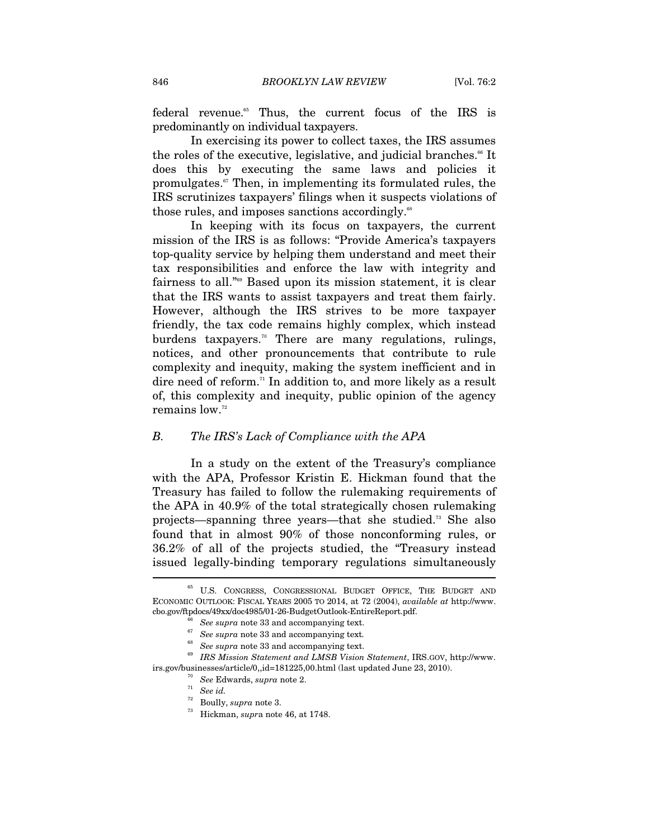federal revenue.<sup>65</sup> Thus, the current focus of the IRS is predominantly on individual taxpayers.

In exercising its power to collect taxes, the IRS assumes the roles of the executive, legislative, and judicial branches.<sup> $\text{6}$ </sup> It does this by executing the same laws and policies it promulgates. $57$  Then, in implementing its formulated rules, the IRS scrutinizes taxpayers' filings when it suspects violations of those rules, and imposes sanctions accordingly.<sup>68</sup>

In keeping with its focus on taxpayers, the current mission of the IRS is as follows: "Provide America's taxpayers top-quality service by helping them understand and meet their tax responsibilities and enforce the law with integrity and fairness to all."<sup>69</sup> Based upon its mission statement, it is clear that the IRS wants to assist taxpayers and treat them fairly. However, although the IRS strives to be more taxpayer friendly, the tax code remains highly complex, which instead burdens taxpayers.<sup>70</sup> There are many regulations, rulings, notices, and other pronouncements that contribute to rule complexity and inequity, making the system inefficient and in dire need of reform.<sup>71</sup> In addition to, and more likely as a result of, this complexity and inequity, public opinion of the agency remains low.<sup>72</sup>

#### *B. The IRS's Lack of Compliance with the APA*

In a study on the extent of the Treasury's compliance with the APA, Professor Kristin E. Hickman found that the Treasury has failed to follow the rulemaking requirements of the APA in 40.9% of the total strategically chosen rulemaking projects—spanning three years—that she studied.73 She also found that in almost 90% of those nonconforming rules, or 36.2% of all of the projects studied, the "Treasury instead issued legally-binding temporary regulations simultaneously j

U.S. CONGRESS, CONGRESSIONAL BUDGET OFFICE, THE BUDGET AND ECONOMIC OUTLOOK: FISCAL YEARS 2005 TO 2014, at 72 (2004), *available at* http://www. cbo.gov/ftpdocs/49xx/doc4985/01-26-BudgetOutlook-EntireReport.pdf. 66 *See supra* note 33 and accompanying text. 67 *See supra* note 33 and accompanying text*.*

<sup>68</sup> *See supra* note 33 and accompanying text.

<sup>69</sup> *IRS Mission Statement and LMSB Vision Statement*, IRS.GOV, http://www. irs.gov/businesses/article/0,,id=181225,00.html (last updated June 23, 2010). 70 *See* Edwards, *supra* note 2. 71 *See id.* 

<sup>&</sup>lt;sup>73</sup> Hickman, *supra* note 46, at 1748.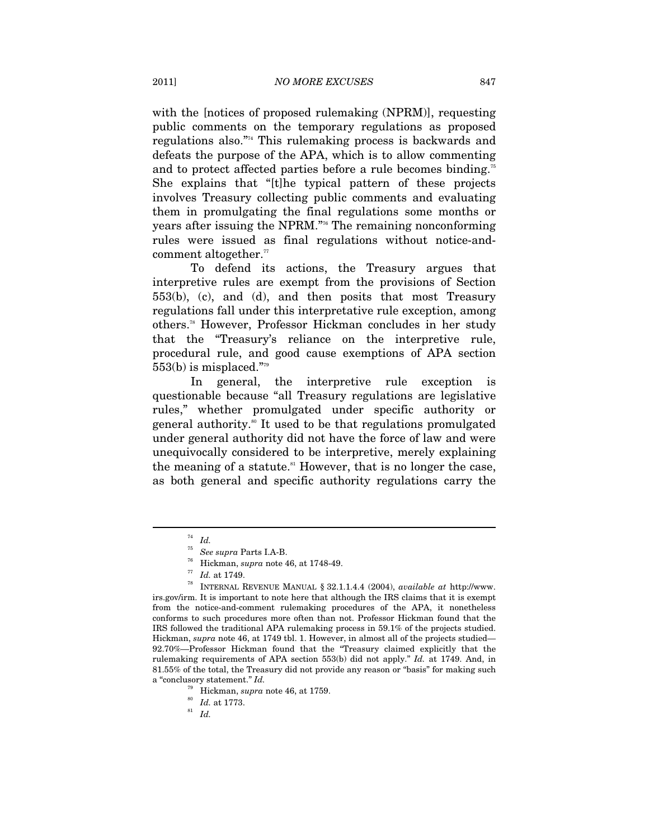with the [notices of proposed rulemaking (NPRM)], requesting public comments on the temporary regulations as proposed regulations also."74 This rulemaking process is backwards and defeats the purpose of the APA, which is to allow commenting and to protect affected parties before a rule becomes binding.<sup>75</sup> She explains that "[t]he typical pattern of these projects involves Treasury collecting public comments and evaluating them in promulgating the final regulations some months or years after issuing the NPRM."76 The remaining nonconforming rules were issued as final regulations without notice-andcomment altogether. $\mathbb{Z}$ 

To defend its actions, the Treasury argues that interpretive rules are exempt from the provisions of Section 553(b), (c), and (d), and then posits that most Treasury regulations fall under this interpretative rule exception, among others.78 However, Professor Hickman concludes in her study that the "Treasury's reliance on the interpretive rule, procedural rule, and good cause exemptions of APA section 553(b) is misplaced."79

In general, the interpretive rule exception is questionable because "all Treasury regulations are legislative rules," whether promulgated under specific authority or general authority.<sup>80</sup> It used to be that regulations promulgated under general authority did not have the force of law and were unequivocally considered to be interpretive, merely explaining the meaning of a statute. $81$  However, that is no longer the case, as both general and specific authority regulations carry the

<sup>74</sup> *Id.* 75 *See supra* Parts I.A-B. 76 Hickman, *supra* note 46, at 1748-49. 77 *Id.* at 1749. 78 INTERNAL REVENUE MANUAL § 32.1.1.4.4 (2004), *available at* http://www. irs.gov/irm. It is important to note here that although the IRS claims that it is exempt from the notice-and-comment rulemaking procedures of the APA, it nonetheless conforms to such procedures more often than not. Professor Hickman found that the IRS followed the traditional APA rulemaking process in 59.1% of the projects studied. Hickman, *supra* note 46, at 1749 tbl. 1. However, in almost all of the projects studied— 92.70%—Professor Hickman found that the "Treasury claimed explicitly that the rulemaking requirements of APA section 553(b) did not apply." *Id.* at 1749. And, in 81.55% of the total, the Treasury did not provide any reason or "basis" for making such a "conclusory statement." *Id.* 

<sup>79</sup> Hickman, *supra* note 46, at 1759. 80 *Id.* at 1773. 81 *Id.*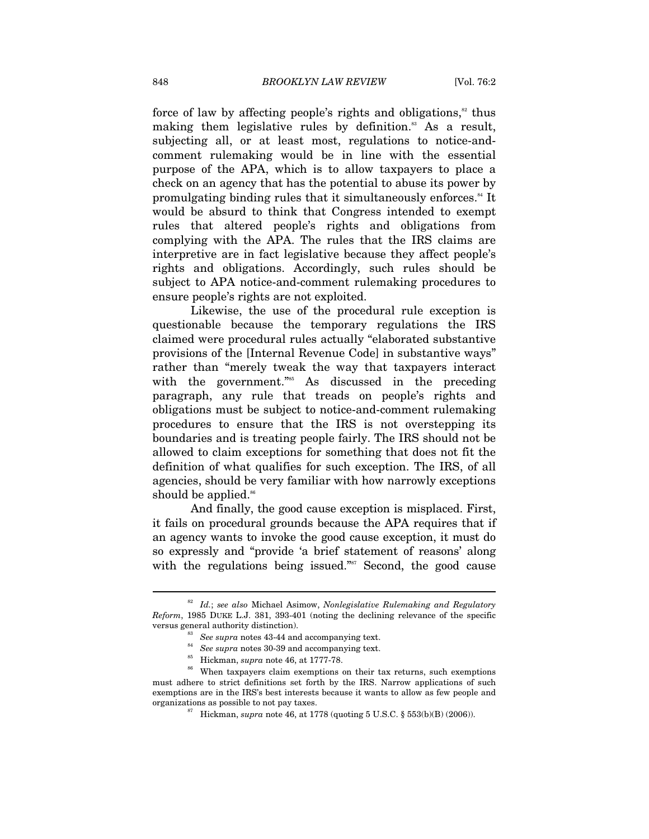force of law by affecting people's rights and obligations, $\frac{8}{3}$  thus making them legislative rules by definition.<sup>83</sup> As a result, subjecting all, or at least most, regulations to notice-andcomment rulemaking would be in line with the essential purpose of the APA, which is to allow taxpayers to place a check on an agency that has the potential to abuse its power by promulgating binding rules that it simultaneously enforces.<sup>84</sup> It would be absurd to think that Congress intended to exempt rules that altered people's rights and obligations from complying with the APA. The rules that the IRS claims are interpretive are in fact legislative because they affect people's rights and obligations. Accordingly, such rules should be subject to APA notice-and-comment rulemaking procedures to ensure people's rights are not exploited.

Likewise, the use of the procedural rule exception is questionable because the temporary regulations the IRS claimed were procedural rules actually "elaborated substantive provisions of the [Internal Revenue Code] in substantive ways" rather than "merely tweak the way that taxpayers interact with the government."<sup>85</sup> As discussed in the preceding paragraph, any rule that treads on people's rights and obligations must be subject to notice-and-comment rulemaking procedures to ensure that the IRS is not overstepping its boundaries and is treating people fairly. The IRS should not be allowed to claim exceptions for something that does not fit the definition of what qualifies for such exception. The IRS, of all agencies, should be very familiar with how narrowly exceptions should be applied.<sup>86</sup>

And finally, the good cause exception is misplaced. First, it fails on procedural grounds because the APA requires that if an agency wants to invoke the good cause exception, it must do so expressly and "provide 'a brief statement of reasons' along with the regulations being issued."<sup>87</sup> Second, the good cause

<sup>82</sup> *Id.*; *see also* Michael Asimow, *Nonlegislative Rulemaking and Regulatory Reform*, 1985 DUKE L.J. 381, 393-401 (noting the declining relevance of the specific

<sup>%</sup> versus general authority distinction).<br>  $^{83}$  See supra notes 43-44 and accompanying text.<br>  $^{84}$  See supra notes 30-39 and accompanying text.<br>  $^{85}$  Hickman, *supra* note 46, at 1777-78.<br>
When taxpayers claim exempt must adhere to strict definitions set forth by the IRS. Narrow applications of such exemptions are in the IRS's best interests because it wants to allow as few people and organizations as possible to not pay taxes. 87 Hickman, *supra* note 46, at 1778 (quoting 5 U.S.C. § 553(b)(B) (2006)).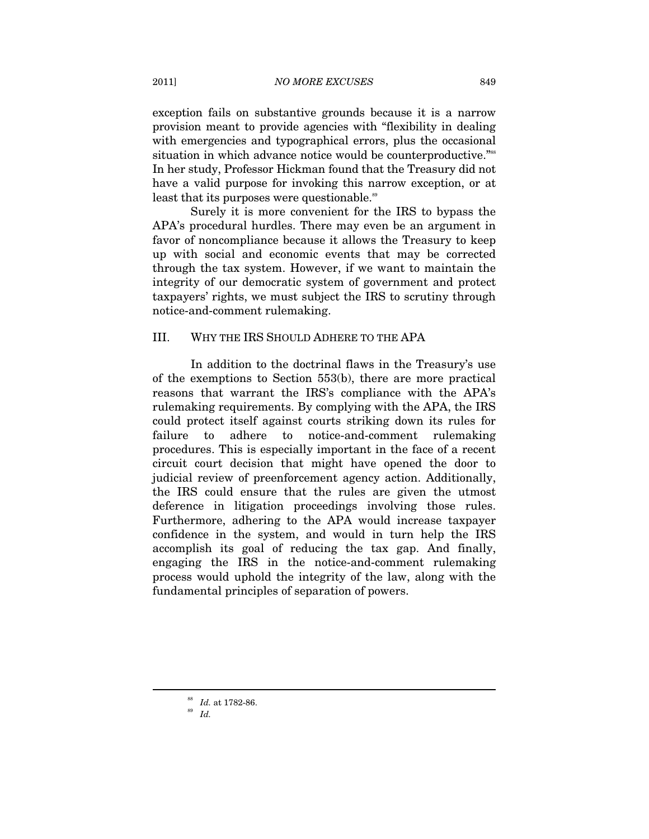exception fails on substantive grounds because it is a narrow provision meant to provide agencies with "flexibility in dealing with emergencies and typographical errors, plus the occasional situation in which advance notice would be counterproductive."<sup>888</sup> In her study, Professor Hickman found that the Treasury did not have a valid purpose for invoking this narrow exception, or at least that its purposes were questionable.<sup>89</sup>

Surely it is more convenient for the IRS to bypass the APA's procedural hurdles. There may even be an argument in favor of noncompliance because it allows the Treasury to keep up with social and economic events that may be corrected through the tax system. However, if we want to maintain the integrity of our democratic system of government and protect taxpayers' rights, we must subject the IRS to scrutiny through notice-and-comment rulemaking.

## III. WHY THE IRS SHOULD ADHERE TO THE APA

In addition to the doctrinal flaws in the Treasury's use of the exemptions to Section 553(b), there are more practical reasons that warrant the IRS's compliance with the APA's rulemaking requirements. By complying with the APA, the IRS could protect itself against courts striking down its rules for failure to adhere to notice-and-comment rulemaking procedures. This is especially important in the face of a recent circuit court decision that might have opened the door to judicial review of preenforcement agency action. Additionally, the IRS could ensure that the rules are given the utmost deference in litigation proceedings involving those rules. Furthermore, adhering to the APA would increase taxpayer confidence in the system, and would in turn help the IRS accomplish its goal of reducing the tax gap. And finally, engaging the IRS in the notice-and-comment rulemaking process would uphold the integrity of the law, along with the fundamental principles of separation of powers.

<sup>88</sup> *Id.* at 1782-86. 89 *Id.*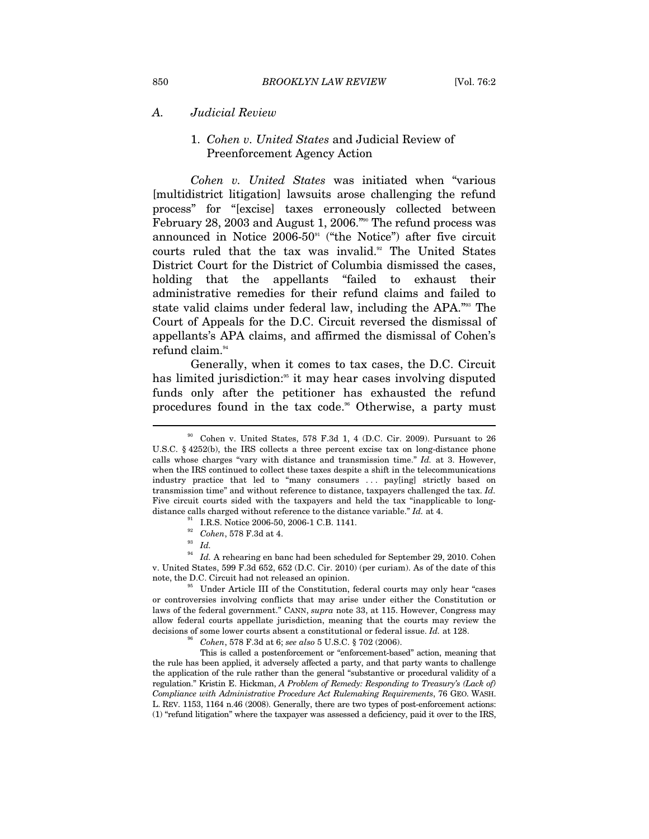#### *A. Judicial Review*

# 1. *Cohen v. United States* and Judicial Review of Preenforcement Agency Action

*Cohen v. United States* was initiated when "various [multidistrict litigation] lawsuits arose challenging the refund process" for "[excise] taxes erroneously collected between February 28, 2003 and August 1, 2006."<sup>90</sup> The refund process was announced in Notice 2006-50<sup>91</sup> ("the Notice") after five circuit courts ruled that the tax was invalid.<sup>92</sup> The United States District Court for the District of Columbia dismissed the cases, holding that the appellants "failed to exhaust their administrative remedies for their refund claims and failed to state valid claims under federal law, including the APA."<sup>93</sup> The Court of Appeals for the D.C. Circuit reversed the dismissal of appellants's APA claims, and affirmed the dismissal of Cohen's refund claim.<sup>94</sup>

Generally, when it comes to tax cases, the D.C. Circuit has limited jurisdiction:<sup>95</sup> it may hear cases involving disputed funds only after the petitioner has exhausted the refund procedures found in the tax code.<sup>86</sup> Otherwise, a party must

 $\overline{a}$ 

note, the D.C. Circuit had not released an opinion.  $$\,^{\rm 95}$$  Under Article III of the Constitution, federal courts may only hear "cases or controversies involving conflicts that may arise under either the Constitution or laws of the federal government." CANN, *supra* note 33, at 115. However, Congress may allow federal courts appellate jurisdiction, meaning that the courts may review the decisions of some lower courts absent a constitutional or federal issue. *Id.* at 128.<br><sup>96</sup> *Cohen*, 578 F.3d at 6; *see also* 5 U.S.C. § 702 (2006).

 This is called a postenforcement or "enforcement-based" action, meaning that the rule has been applied, it adversely affected a party, and that party wants to challenge the application of the rule rather than the general "substantive or procedural validity of a regulation." Kristin E. Hickman, *A Problem of Remedy: Responding to Treasury's (Lack of) Compliance with Administrative Procedure Act Rulemaking Requirements*, 76 GEO. WASH. L. REV. 1153, 1164 n.46 (2008). Generally, there are two types of post-enforcement actions: (1) "refund litigation" where the taxpayer was assessed a deficiency, paid it over to the IRS,

 $^{90}$  Cohen v. United States, 578 F.3d 1, 4 (D.C. Cir. 2009). Pursuant to 26 U.S.C. § 4252(b), the IRS collects a three percent excise tax on long-distance phone calls whose charges "vary with distance and transmission time." *Id.* at 3. However, when the IRS continued to collect these taxes despite a shift in the telecommunications industry practice that led to "many consumers . . . pay[ing] strictly based on transmission time" and without reference to distance, taxpayers challenged the tax. *Id.*  Five circuit courts sided with the taxpayers and held the tax "inapplicable to longdistance calls charged without reference to the distance variable." *Id.* at 4. 9<sup>91</sup> I.R.S. Notice 2006-50, 2006-1 C.B. 1141.

<sup>92</sup> *Cohen*, 578 F.3d at 4. 93 *Id.*

<sup>&</sup>lt;sup>94</sup> *Id.* A rehearing en banc had been scheduled for September 29, 2010. Cohen v. United States, 599 F.3d 652, 652 (D.C. Cir. 2010) (per curiam). As of the date of this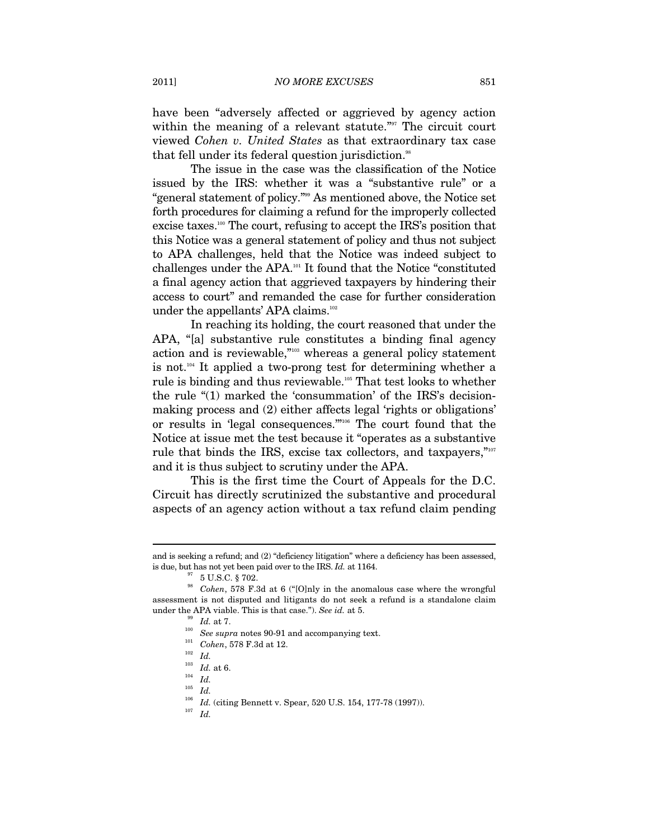have been "adversely affected or aggrieved by agency action within the meaning of a relevant statute."<sup>97</sup> The circuit court viewed *Cohen v. United States* as that extraordinary tax case that fell under its federal question jurisdiction.<sup>98</sup>

The issue in the case was the classification of the Notice issued by the IRS: whether it was a "substantive rule" or a "general statement of policy."99 As mentioned above, the Notice set forth procedures for claiming a refund for the improperly collected excise taxes.100 The court, refusing to accept the IRS's position that this Notice was a general statement of policy and thus not subject to APA challenges, held that the Notice was indeed subject to challenges under the APA.101 It found that the Notice "constituted a final agency action that aggrieved taxpayers by hindering their access to court" and remanded the case for further consideration under the appellants' APA claims.<sup>102</sup>

In reaching its holding, the court reasoned that under the APA, "[a] substantive rule constitutes a binding final agency action and is reviewable,"103 whereas a general policy statement is not.104 It applied a two-prong test for determining whether a rule is binding and thus reviewable.<sup>105</sup> That test looks to whether the rule "(1) marked the 'consummation' of the IRS's decisionmaking process and (2) either affects legal 'rights or obligations' or results in 'legal consequences.'"106 The court found that the Notice at issue met the test because it "operates as a substantive rule that binds the IRS, excise tax collectors, and taxpayers,"107 and it is thus subject to scrutiny under the APA.

This is the first time the Court of Appeals for the D.C. Circuit has directly scrutinized the substantive and procedural aspects of an agency action without a tax refund claim pending

and is seeking a refund; and (2) "deficiency litigation" where a deficiency has been assessed, is due, but has not yet been paid over to the IRS.  $Id$ . at 1164.  $97\quad 5$  U.S.C. § 702.

<sup>98</sup> *Cohen*, 578 F.3d at 6 ("[O]nly in the anomalous case where the wrongful assessment is not disputed and litigants do not seek a refund is a standalone claim under the APA viable. This is that case."). See  $id$ . at 5.

 $U_{100}^{99}$  *Id.* at 7.<br>  $U_{20}^{100}$  *See supra* notes 90-91 and accompanying text.<br>  $U_{102}^{101}$  *Cohen*, 578 F.3d at 12.<br>  $U_{20}^{103}$ 

 $\begin{array}{cc}\n^{103} & Id. \text{ at } 6. \\
^{104} & Id. \\
^{105} & 1 \end{array}$ 

 $\frac{105}{106}$  *Id.* 

<sup>&</sup>lt;sup>106</sup> *Id.* (citing Bennett v. Spear, 520 U.S. 154, 177-78 (1997)).<br><sup>107</sup> *Id.*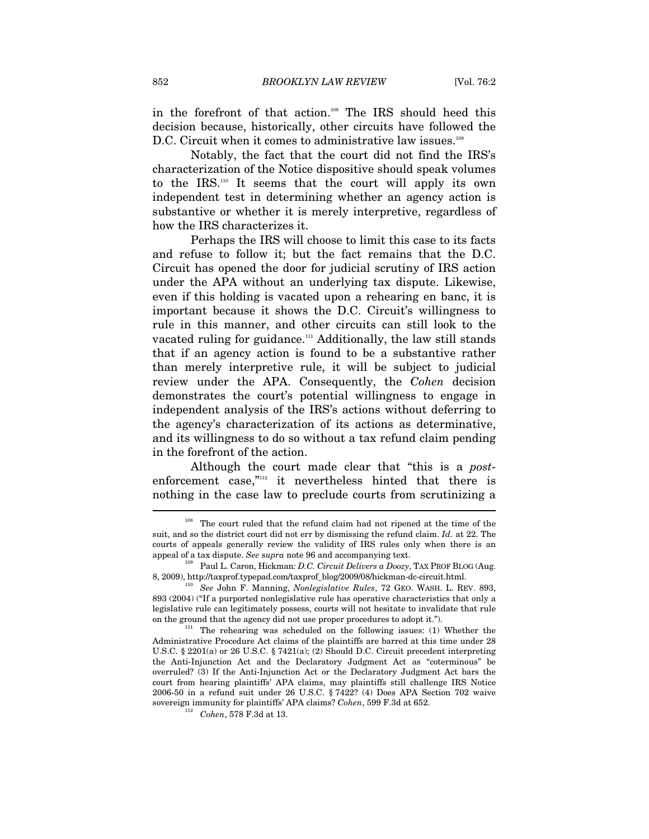in the forefront of that action.108 The IRS should heed this decision because, historically, other circuits have followed the D.C. Circuit when it comes to administrative law issues.<sup>109</sup>

Notably, the fact that the court did not find the IRS's characterization of the Notice dispositive should speak volumes to the IRS.110 It seems that the court will apply its own independent test in determining whether an agency action is substantive or whether it is merely interpretive, regardless of how the IRS characterizes it.

Perhaps the IRS will choose to limit this case to its facts and refuse to follow it; but the fact remains that the D.C. Circuit has opened the door for judicial scrutiny of IRS action under the APA without an underlying tax dispute. Likewise, even if this holding is vacated upon a rehearing en banc, it is important because it shows the D.C. Circuit's willingness to rule in this manner, and other circuits can still look to the vacated ruling for guidance.<sup>111</sup> Additionally, the law still stands that if an agency action is found to be a substantive rather than merely interpretive rule, it will be subject to judicial review under the APA. Consequently, the *Cohen* decision demonstrates the court's potential willingness to engage in independent analysis of the IRS's actions without deferring to the agency's characterization of its actions as determinative, and its willingness to do so without a tax refund claim pending in the forefront of the action.

Although the court made clear that "this is a *post*enforcement case,"112 it nevertheless hinted that there is nothing in the case law to preclude courts from scrutinizing a  $\overline{a}$ 

<sup>&</sup>lt;sup>108</sup> The court ruled that the refund claim had not ripened at the time of the suit, and so the district court did not err by dismissing the refund claim. *Id.* at 22. The courts of appeals generally review the validity of IRS rules only when there is an appeal of a tax dispute. *See* supra note 96 and accompanying text.<br><sup>109</sup> Paul L. Caron, Hickman: *D.C. Circuit Delivers a Doozy*, TAX PROF BLOG (Aug.

<sup>8, 2009),</sup> http://taxprof.typepad.com/taxprof\_blog/2009/08/hickman-dc-circuit.html. 110 *See* John F. Manning, *Nonlegislative Rules*, 72 GEO. WASH. L. REV. 893, 893 (2004) ("If a purported nonlegislative rule has operative characteristics that only a legislative rule can legitimately possess, courts will not hesitate to invalidate that rule on the ground that the agency did not use proper procedures to adopt it.").<br><sup>111</sup> The rehearing was scheduled on the following issues: (1) Whether the

Administrative Procedure Act claims of the plaintiffs are barred at this time under 28 U.S.C. § 2201(a) or 26 U.S.C. § 7421(a); (2) Should D.C. Circuit precedent interpreting the Anti-Injunction Act and the Declaratory Judgment Act as "coterminous" be overruled? (3) If the Anti-Injunction Act or the Declaratory Judgment Act bars the court from hearing plaintiffs' APA claims, may plaintiffs still challenge IRS Notice 2006-50 in a refund suit under 26 U.S.C. § 7422? (4) Does APA Section 702 waive sovereign immunity for plaintiffs' APA claims? *Cohen*, 599 F.3d at 652. 112 *Cohen*, 578 F.3d at 13.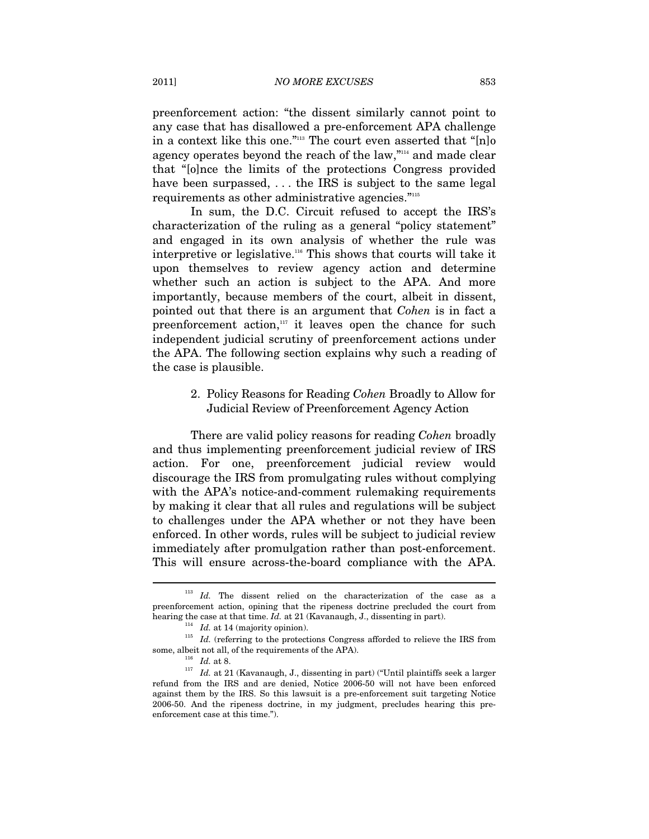preenforcement action: "the dissent similarly cannot point to any case that has disallowed a pre-enforcement APA challenge in a context like this one."113 The court even asserted that "[n]o agency operates beyond the reach of the law,"114 and made clear that "[o]nce the limits of the protections Congress provided have been surpassed, ... the IRS is subject to the same legal requirements as other administrative agencies."115

In sum, the D.C. Circuit refused to accept the IRS's characterization of the ruling as a general "policy statement" and engaged in its own analysis of whether the rule was interpretive or legislative.116 This shows that courts will take it upon themselves to review agency action and determine whether such an action is subject to the APA. And more importantly, because members of the court, albeit in dissent, pointed out that there is an argument that *Cohen* is in fact a preenforcement action, $117$  it leaves open the chance for such independent judicial scrutiny of preenforcement actions under the APA. The following section explains why such a reading of the case is plausible.

# 2. Policy Reasons for Reading *Cohen* Broadly to Allow for Judicial Review of Preenforcement Agency Action

There are valid policy reasons for reading *Cohen* broadly and thus implementing preenforcement judicial review of IRS action. For one, preenforcement judicial review would discourage the IRS from promulgating rules without complying with the APA's notice-and-comment rulemaking requirements by making it clear that all rules and regulations will be subject to challenges under the APA whether or not they have been enforced. In other words, rules will be subject to judicial review immediately after promulgation rather than post-enforcement. This will ensure across-the-board compliance with the APA.

<sup>&</sup>lt;sup>113</sup> *Id.* The dissent relied on the characterization of the case as a preenforcement action, opining that the ripeness doctrine precluded the court from hearing the case at that time. Id. at 21 (Kavanaugh, J., dissenting in part).

<sup>&</sup>lt;sup>114</sup> *Id.* at 14 (majority opinion). <sup>115</sup> *Id.* (referring to the protections Congress afforded to relieve the IRS from some, albeit not all, of the requirements of the APA).

 $\begin{array}{ll} \n^{\text{116}} & Id. \n\end{array}$ at 8. 117 *Id.* at 21 (Kavanaugh, J., dissenting in part) ("Until plaintiffs seek a larger refund from the IRS and are denied, Notice 2006-50 will not have been enforced against them by the IRS. So this lawsuit is a pre-enforcement suit targeting Notice 2006-50. And the ripeness doctrine, in my judgment, precludes hearing this preenforcement case at this time.").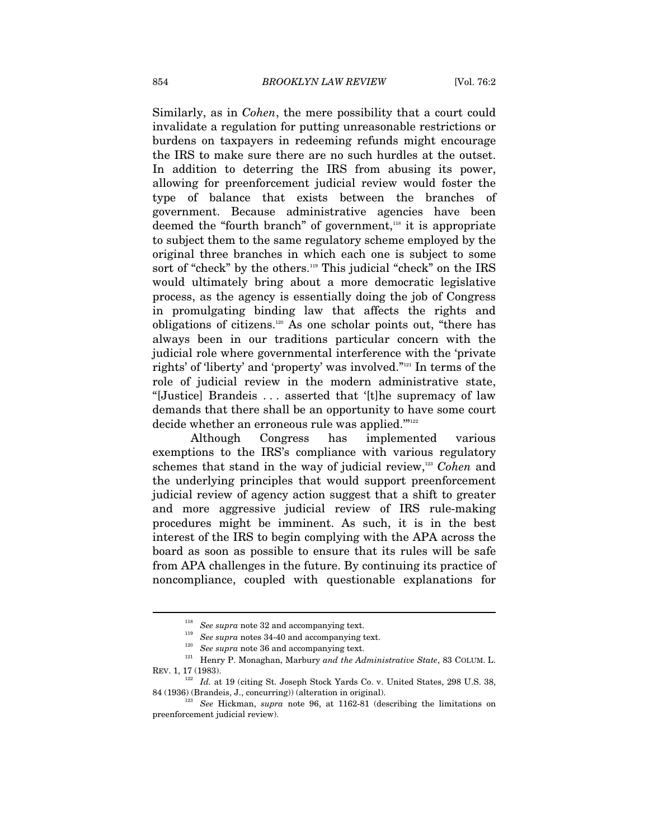Similarly, as in *Cohen*, the mere possibility that a court could invalidate a regulation for putting unreasonable restrictions or burdens on taxpayers in redeeming refunds might encourage the IRS to make sure there are no such hurdles at the outset. In addition to deterring the IRS from abusing its power, allowing for preenforcement judicial review would foster the type of balance that exists between the branches of government. Because administrative agencies have been deemed the "fourth branch" of government, $118$  it is appropriate to subject them to the same regulatory scheme employed by the original three branches in which each one is subject to some sort of "check" by the others.<sup>119</sup> This judicial "check" on the IRS would ultimately bring about a more democratic legislative process, as the agency is essentially doing the job of Congress in promulgating binding law that affects the rights and obligations of citizens.120 As one scholar points out, "there has always been in our traditions particular concern with the judicial role where governmental interference with the 'private rights' of 'liberty' and 'property' was involved."121 In terms of the role of judicial review in the modern administrative state, "[Justice] Brandeis . . . asserted that '[t]he supremacy of law demands that there shall be an opportunity to have some court decide whether an erroneous rule was applied."<sup>122</sup>

Although Congress has implemented various exemptions to the IRS's compliance with various regulatory schemes that stand in the way of judicial review,<sup>123</sup> *Cohen* and the underlying principles that would support preenforcement judicial review of agency action suggest that a shift to greater and more aggressive judicial review of IRS rule-making procedures might be imminent. As such, it is in the best interest of the IRS to begin complying with the APA across the board as soon as possible to ensure that its rules will be safe from APA challenges in the future. By continuing its practice of noncompliance, coupled with questionable explanations for

<sup>&</sup>lt;sup>118</sup> See supra note 32 and accompanying text.<br><sup>119</sup> See supra notes 34-40 and accompanying text.<br><sup>120</sup> See supra note 36 and accompanying text.<br><sup>121</sup> Henry P. Monaghan, Marbury *and the Administrative State*, 83 COLUM. L REV. 1, 17 (1983).  $I_{122}$  *Id.* at 19 (citing St. Joseph Stock Yards Co. v. United States, 298 U.S. 38,

<sup>84 (1936) (</sup>Brandeis, J., concurring)) (alteration in original). 123 *See* Hickman, *supra* note 96, at 1162-81 (describing the limitations on

preenforcement judicial review).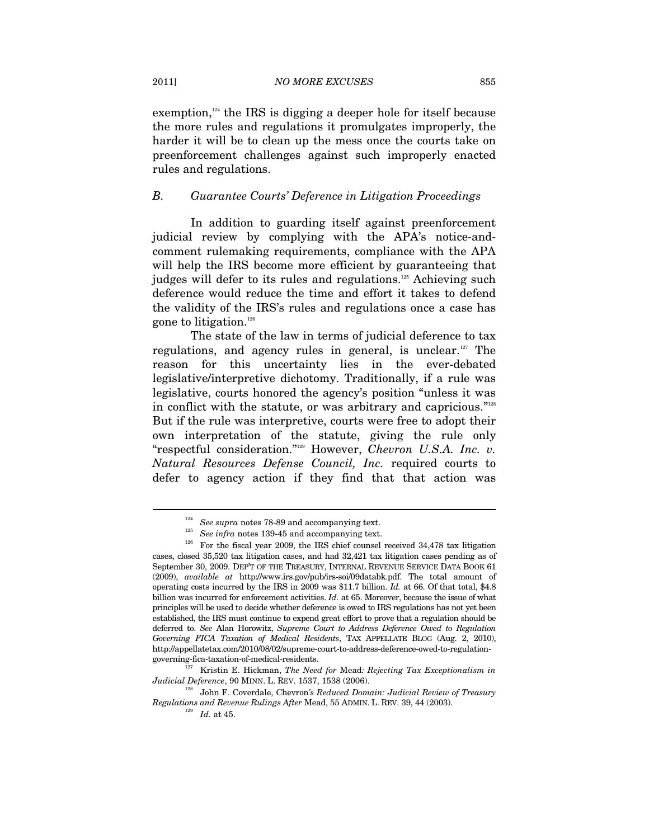exemption, $124$  the IRS is digging a deeper hole for itself because the more rules and regulations it promulgates improperly, the harder it will be to clean up the mess once the courts take on preenforcement challenges against such improperly enacted rules and regulations.

#### *B. Guarantee Courts' Deference in Litigation Proceedings*

In addition to guarding itself against preenforcement judicial review by complying with the APA's notice-andcomment rulemaking requirements, compliance with the APA will help the IRS become more efficient by guaranteeing that judges will defer to its rules and regulations.<sup>125</sup> Achieving such deference would reduce the time and effort it takes to defend the validity of the IRS's rules and regulations once a case has gone to litigation.126

The state of the law in terms of judicial deference to tax regulations, and agency rules in general, is unclear.<sup>127</sup> The reason for this uncertainty lies in the ever-debated legislative/interpretive dichotomy. Traditionally, if a rule was legislative, courts honored the agency's position "unless it was in conflict with the statute, or was arbitrary and capricious."128 But if the rule was interpretive, courts were free to adopt their own interpretation of the statute, giving the rule only "respectful consideration."129 However, *Chevron U.S.A. Inc. v. Natural Resources Defense Council, Inc.* required courts to defer to agency action if they find that that action was

<sup>&</sup>lt;sup>124</sup> See supra notes 78-89 and accompanying text.<br><sup>125</sup> *See infra* notes 139-45 and accompanying text.<br><sup>126</sup> For the fiscal year 2009, the IRS chief counsel received 34,478 tax litigation cases, closed 35,520 tax litigation cases, and had 32,421 tax litigation cases pending as of September 30, 2009. DEP'T OF THE TREASURY, INTERNAL REVENUE SERVICE DATA BOOK 61 (2009), *available at* http://www.irs.gov/pub/irs-soi/09databk.pdf. The total amount of operating costs incurred by the IRS in 2009 was \$11.7 billion. *Id.* at 66. Of that total, \$4.8 billion was incurred for enforcement activities. *Id.* at 65. Moreover, because the issue of what principles will be used to decide whether deference is owed to IRS regulations has not yet been established, the IRS must continue to expend great effort to prove that a regulation should be deferred to. *See* Alan Horowitz, *Supreme Court to Address Deference Owed to Regulation Governing FICA Taxation of Medical Residents*, TAX APPELLATE BLOG (Aug. 2, 2010), http://appellatetax.com/2010/08/02/supreme-court-to-address-deference-owed-to-regulation-

governing-fica-taxation-of-medical-residents. 127 Kristin E. Hickman, *The Need for* Mead*: Rejecting Tax Exceptionalism in Judicial Deference*, 90 MINN. L. REV. 1537, 1538 (2006).<br><sup>128</sup> John F. Coverdale, Chevron's *Reduced Domain: Judicial Review of Treasury* 

*Regulations and Revenue Rulings After* Mead, 55 ADMIN. L. REV. 39, 44 (2003). 129 *Id.* at 45.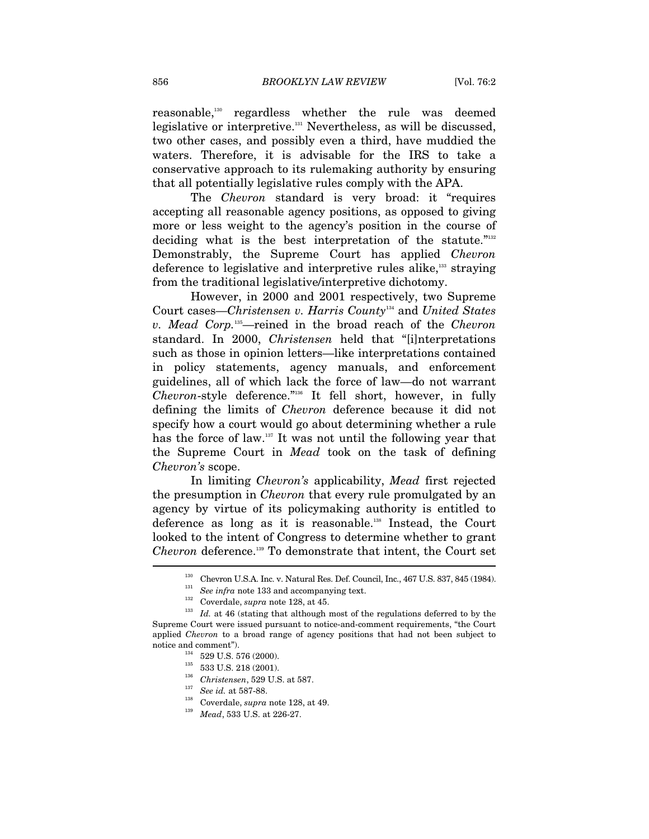reasonable,130 regardless whether the rule was deemed legislative or interpretive.131 Nevertheless, as will be discussed, two other cases, and possibly even a third, have muddied the waters. Therefore, it is advisable for the IRS to take a conservative approach to its rulemaking authority by ensuring that all potentially legislative rules comply with the APA.

The *Chevron* standard is very broad: it "requires accepting all reasonable agency positions, as opposed to giving more or less weight to the agency's position in the course of deciding what is the best interpretation of the statute."<sup>132</sup> Demonstrably, the Supreme Court has applied *Chevron* deference to legislative and interpretive rules alike,<sup>133</sup> straying from the traditional legislative/interpretive dichotomy.

However, in 2000 and 2001 respectively, two Supreme Court cases—*Christensen v. Harris County*134 and *United States v. Mead Corp.*135—reined in the broad reach of the *Chevron*  standard. In 2000, *Christensen* held that "[i]nterpretations such as those in opinion letters—like interpretations contained in policy statements, agency manuals, and enforcement guidelines, all of which lack the force of law—do not warrant *Chevron*-style deference."136 It fell short, however, in fully defining the limits of *Chevron* deference because it did not specify how a court would go about determining whether a rule has the force of law.137 It was not until the following year that the Supreme Court in *Mead* took on the task of defining *Chevron's* scope.

In limiting *Chevron's* applicability, *Mead* first rejected the presumption in *Chevron* that every rule promulgated by an agency by virtue of its policymaking authority is entitled to deference as long as it is reasonable.138 Instead, the Court looked to the intent of Congress to determine whether to grant *Chevron* deference.139 To demonstrate that intent, the Court set

<sup>&</sup>lt;sup>130</sup> Chevron U.S.A. Inc. v. Natural Res. Def. Council, Inc., 467 U.S. 837, 845 (1984).<br><sup>131</sup> See infra note 133 and accompanying text.<br><sup>132</sup> Coverdale, *supra* note 128, at 45.<br>*Id.* at 46 (stating that although most of Supreme Court were issued pursuant to notice-and-comment requirements, "the Court applied *Chevron* to a broad range of agency positions that had not been subject to notice and comment").<br>
<sup>134</sup> 529 U.S. 576 (2000).<br>
<sup>135</sup> 533 U.S. 218 (2001).<br>
<sup>136</sup> *Christensen*, 529 U.S. at 587.<br>
<sup>137</sup> *See id.* at 587-88.<br>
<sup>138</sup> Coverdale, *supra* note 128, at 49.<br>
<sup>139</sup> *Mead*, 533 U.S. at 226-27.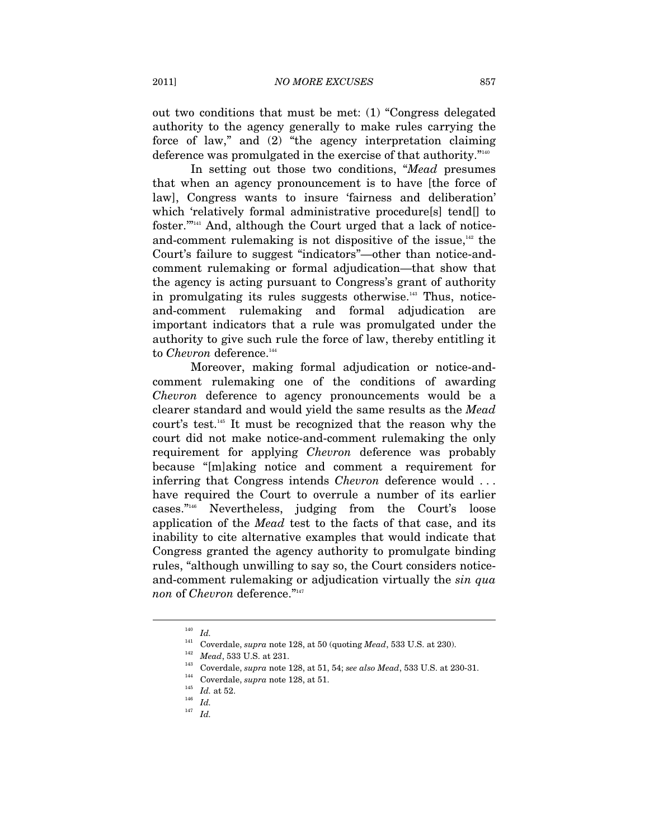out two conditions that must be met: (1) "Congress delegated authority to the agency generally to make rules carrying the force of law," and (2) "the agency interpretation claiming deference was promulgated in the exercise of that authority."140

In setting out those two conditions, "*Mead* presumes that when an agency pronouncement is to have [the force of law], Congress wants to insure 'fairness and deliberation' which 'relatively formal administrative procedure[s] tend[] to foster.'"141 And, although the Court urged that a lack of noticeand-comment rulemaking is not dispositive of the issue.<sup> $142$ </sup> the Court's failure to suggest "indicators"—other than notice-andcomment rulemaking or formal adjudication—that show that the agency is acting pursuant to Congress's grant of authority in promulgating its rules suggests otherwise.<sup>143</sup> Thus, noticeand-comment rulemaking and formal adjudication are important indicators that a rule was promulgated under the authority to give such rule the force of law, thereby entitling it to *Chevron* deference.<sup>144</sup>

Moreover, making formal adjudication or notice-andcomment rulemaking one of the conditions of awarding *Chevron* deference to agency pronouncements would be a clearer standard and would yield the same results as the *Mead* court's test.145 It must be recognized that the reason why the court did not make notice-and-comment rulemaking the only requirement for applying *Chevron* deference was probably because "[m]aking notice and comment a requirement for inferring that Congress intends *Chevron* deference would . . . have required the Court to overrule a number of its earlier cases."146 Nevertheless, judging from the Court's loose application of the *Mead* test to the facts of that case, and its inability to cite alternative examples that would indicate that Congress granted the agency authority to promulgate binding rules, "although unwilling to say so, the Court considers noticeand-comment rulemaking or adjudication virtually the *sin qua non* of *Chevron* deference."147

<sup>&</sup>lt;sup>140</sup> *Id.*<br>
<sup>141</sup> Coverdale, *supra* note 128, at 50 (quoting *Mead*, 533 U.S. at 230).<br>
<sup>142</sup> *Mead*, 533 U.S. at 231.<br>
<sup>143</sup> Coverdale, *supra* note 128, at 51, 54; *see also Mead*, 533 U.S. at 230-31.<br>
<sup>144</sup> *Id.* at

<sup>147</sup> *Id.*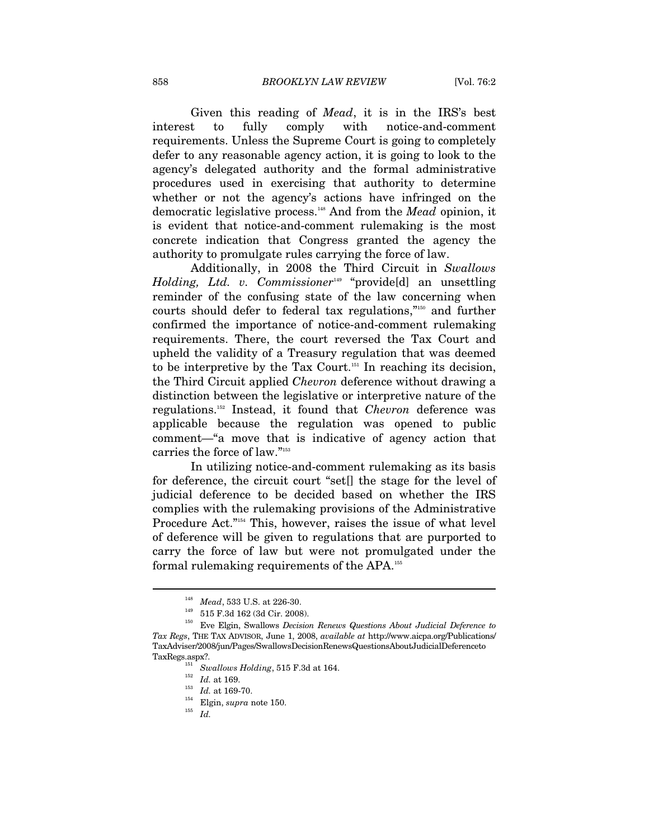Given this reading of *Mead*, it is in the IRS's best interest to fully comply with notice-and-comment requirements. Unless the Supreme Court is going to completely defer to any reasonable agency action, it is going to look to the agency's delegated authority and the formal administrative procedures used in exercising that authority to determine whether or not the agency's actions have infringed on the democratic legislative process.148 And from the *Mead* opinion, it is evident that notice-and-comment rulemaking is the most concrete indication that Congress granted the agency the authority to promulgate rules carrying the force of law.

Additionally, in 2008 the Third Circuit in *Swallows Holding, Ltd. v. Commissioner*<sup>149</sup> "provide[d] an unsettling reminder of the confusing state of the law concerning when courts should defer to federal tax regulations,"150 and further confirmed the importance of notice-and-comment rulemaking requirements. There, the court reversed the Tax Court and upheld the validity of a Treasury regulation that was deemed to be interpretive by the Tax Court.151 In reaching its decision, the Third Circuit applied *Chevron* deference without drawing a distinction between the legislative or interpretive nature of the regulations.152 Instead, it found that *Chevron* deference was applicable because the regulation was opened to public comment—"a move that is indicative of agency action that carries the force of law."153

In utilizing notice-and-comment rulemaking as its basis for deference, the circuit court "set[] the stage for the level of judicial deference to be decided based on whether the IRS complies with the rulemaking provisions of the Administrative Procedure Act."154 This, however, raises the issue of what level of deference will be given to regulations that are purported to carry the force of law but were not promulgated under the formal rulemaking requirements of the APA.155

<sup>&</sup>lt;sup>148</sup> *Mead*, 533 U.S. at 226-30.<br><sup>149</sup> 515 F.3d 162 (3d Cir. 2008).<br><sup>150</sup> Eve Elgin, Swallows *Decision Renews Questions About Judicial Deference to Tax Regs*, THE TAX ADVISOR, June 1, 2008, *available at* http://www.aicpa.org/Publications/ TaxAdviser/2008/jun/Pages/SwallowsDecisionRenewsQuestionsAboutJudicialDeferenceto TaxRegs.aspx?. 151 *Swallows Holding*, 515 F.3d at 164. 152 *Id.* at 169.

<sup>&</sup>lt;sup>154</sup> Elgin, *supra* note 150.<br><sup>155</sup> *Id.*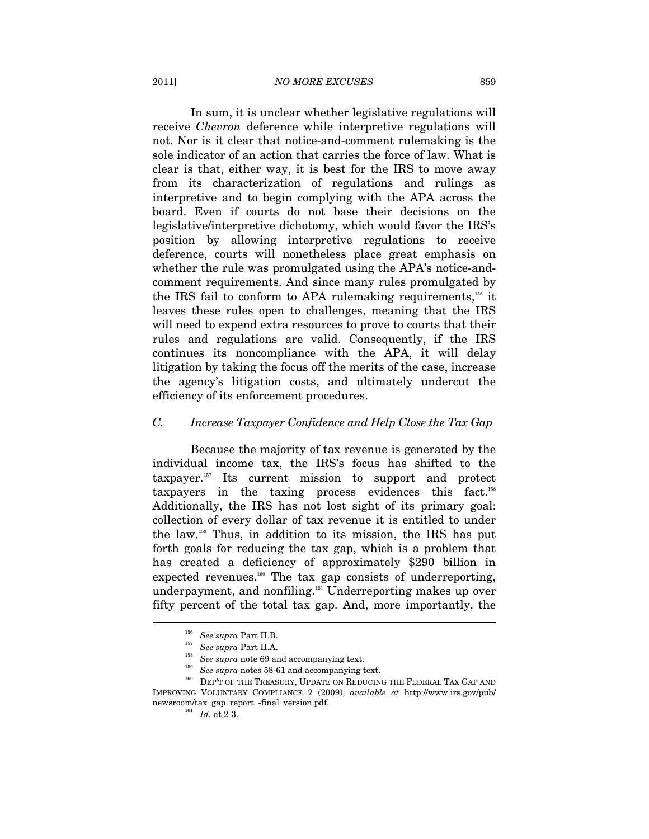In sum, it is unclear whether legislative regulations will receive *Chevron* deference while interpretive regulations will not. Nor is it clear that notice-and-comment rulemaking is the sole indicator of an action that carries the force of law. What is clear is that, either way, it is best for the IRS to move away from its characterization of regulations and rulings as interpretive and to begin complying with the APA across the board. Even if courts do not base their decisions on the legislative/interpretive dichotomy, which would favor the IRS's position by allowing interpretive regulations to receive deference, courts will nonetheless place great emphasis on whether the rule was promulgated using the APA's notice-andcomment requirements. And since many rules promulgated by the IRS fail to conform to APA rulemaking requirements,<sup>156</sup> it leaves these rules open to challenges, meaning that the IRS will need to expend extra resources to prove to courts that their rules and regulations are valid. Consequently, if the IRS continues its noncompliance with the APA, it will delay litigation by taking the focus off the merits of the case, increase the agency's litigation costs, and ultimately undercut the efficiency of its enforcement procedures.

#### *C. Increase Taxpayer Confidence and Help Close the Tax Gap*

Because the majority of tax revenue is generated by the individual income tax, the IRS's focus has shifted to the taxpayer.157 Its current mission to support and protect taxpayers in the taxing process evidences this fact.<sup>158</sup> Additionally, the IRS has not lost sight of its primary goal: collection of every dollar of tax revenue it is entitled to under the law.159 Thus, in addition to its mission, the IRS has put forth goals for reducing the tax gap, which is a problem that has created a deficiency of approximately \$290 billion in expected revenues.<sup>160</sup> The tax gap consists of underreporting, underpayment, and nonfiling.<sup>161</sup> Underreporting makes up over fifty percent of the total tax gap. And, more importantly, the

 $\begin{array}{l} \vspace{0.1cm} ^{156} \quad \textit{See\;supra\; Part\; II.B.} \\ \vspace{0.1cm} \textit{See\;supra\; Part\; II.A.} \\ \vspace{0.1cm} \textit{See\;supra\; note\; 69\; and accompanying\; text.} \\ \vspace{0.1cm} \textit{See\;supra\; notes\; 58-61\; and accompanying\; text.} \\ \vspace{0.1cm} \textit{Deep}^{\pi}\; \textit{of\; THE\; TREASURY, UPDATE\; ON REDUCING\; THE FEDERAL\; TAX\; GAP\; AND} \\ \end{array}$ IMPROVING VOLUNTARY COMPLIANCE 2 (2009), *available at* http://www.irs.gov/pub/ newsroom/tax\_gap\_report\_-final\_version.pdf. 161 *Id.* at 2-3.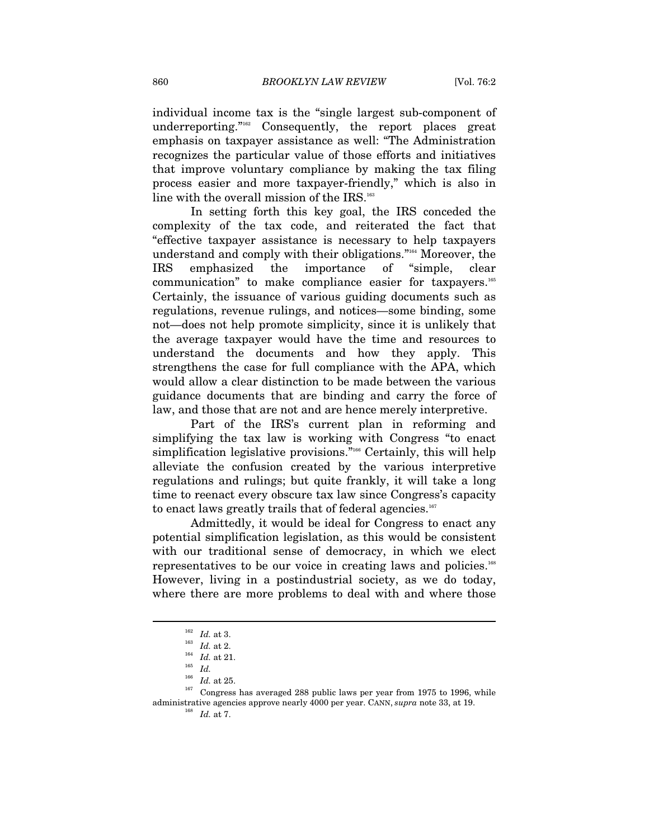individual income tax is the "single largest sub-component of underreporting."<sup>162</sup> Consequently, the report places great emphasis on taxpayer assistance as well: "The Administration recognizes the particular value of those efforts and initiatives that improve voluntary compliance by making the tax filing process easier and more taxpayer-friendly," which is also in line with the overall mission of the IRS.<sup>163</sup>

In setting forth this key goal, the IRS conceded the complexity of the tax code, and reiterated the fact that "effective taxpayer assistance is necessary to help taxpayers understand and comply with their obligations."164 Moreover, the IRS emphasized the importance of "simple, clear communication" to make compliance easier for taxpayers.165 Certainly, the issuance of various guiding documents such as regulations, revenue rulings, and notices—some binding, some not—does not help promote simplicity, since it is unlikely that the average taxpayer would have the time and resources to understand the documents and how they apply. This strengthens the case for full compliance with the APA, which would allow a clear distinction to be made between the various guidance documents that are binding and carry the force of law, and those that are not and are hence merely interpretive.

Part of the IRS's current plan in reforming and simplifying the tax law is working with Congress "to enact simplification legislative provisions."<sup>166</sup> Certainly, this will help alleviate the confusion created by the various interpretive regulations and rulings; but quite frankly, it will take a long time to reenact every obscure tax law since Congress's capacity to enact laws greatly trails that of federal agencies.<sup>167</sup>

Admittedly, it would be ideal for Congress to enact any potential simplification legislation, as this would be consistent with our traditional sense of democracy, in which we elect representatives to be our voice in creating laws and policies.168 However, living in a postindustrial society, as we do today, where there are more problems to deal with and where those

<sup>162</sup> *Id.* at 3. 163 *Id.* at 2. 164 *Id.* at 21. 165 *Id.*

 $^{167}$  Congress has averaged 288 public laws per year from 1975 to 1996, while administrative agencies approve nearly 4000 per year. CANN, *supra* note 33, at 19.

<sup>168</sup> *Id.* at 7.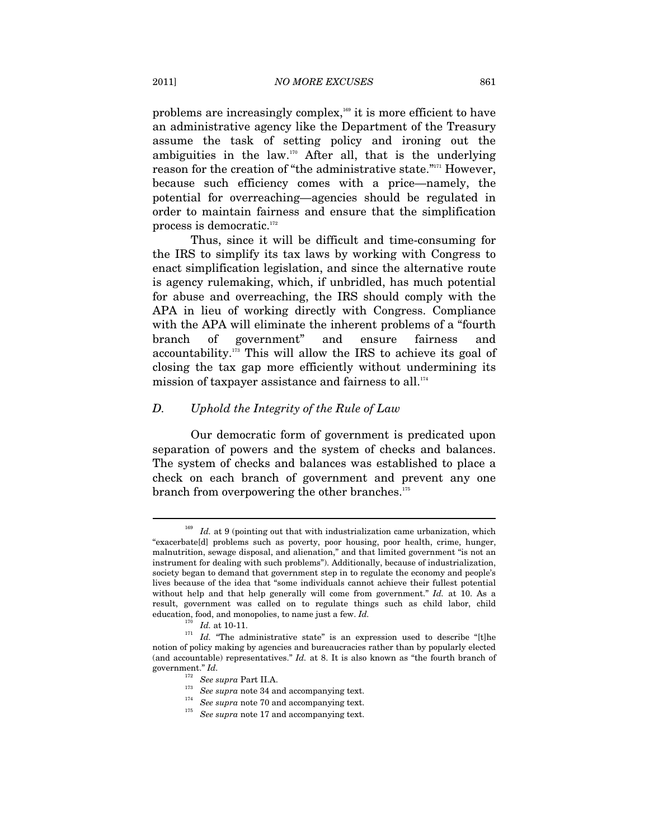problems are increasingly complex,169 it is more efficient to have an administrative agency like the Department of the Treasury assume the task of setting policy and ironing out the ambiguities in the law.170 After all, that is the underlying reason for the creation of "the administrative state."171 However, because such efficiency comes with a price—namely, the potential for overreaching—agencies should be regulated in order to maintain fairness and ensure that the simplification process is democratic.172

Thus, since it will be difficult and time-consuming for the IRS to simplify its tax laws by working with Congress to enact simplification legislation, and since the alternative route is agency rulemaking, which, if unbridled, has much potential for abuse and overreaching, the IRS should comply with the APA in lieu of working directly with Congress. Compliance with the APA will eliminate the inherent problems of a "fourth branch of government" and ensure fairness and accountability.173 This will allow the IRS to achieve its goal of closing the tax gap more efficiently without undermining its mission of taxpayer assistance and fairness to all. $174$ 

## *D. Uphold the Integrity of the Rule of Law*

Our democratic form of government is predicated upon separation of powers and the system of checks and balances. The system of checks and balances was established to place a check on each branch of government and prevent any one branch from overpowering the other branches.<sup>175</sup>

<sup>&</sup>lt;sup>169</sup> *Id.* at 9 (pointing out that with industrialization came urbanization, which "exacerbate[d] problems such as poverty, poor housing, poor health, crime, hunger, malnutrition, sewage disposal, and alienation," and that limited government "is not an instrument for dealing with such problems"). Additionally, because of industrialization, society began to demand that government step in to regulate the economy and people's lives because of the idea that "some individuals cannot achieve their fullest potential without help and that help generally will come from government." *Id.* at 10. As a result, government was called on to regulate things such as child labor, child education, food, and monopolies, to name just a few. *Id.*

<sup>&</sup>lt;sup>170</sup> *Id.* at 10-11. *Id.* "The administrative state" is an expression used to describe "[t]he notion of policy making by agencies and bureaucracies rather than by popularly elected (and accountable) representatives." *Id.* at 8. It is also known as "the fourth branch of government." *Id.*<br><sup>172</sup> See supra Part II.A.

<sup>&</sup>lt;sup>173</sup> See supra note 34 and accompanying text.<br><sup>174</sup> See supra note 70 and accompanying text.<br><sup>175</sup> See supra note 17 and accompanying text.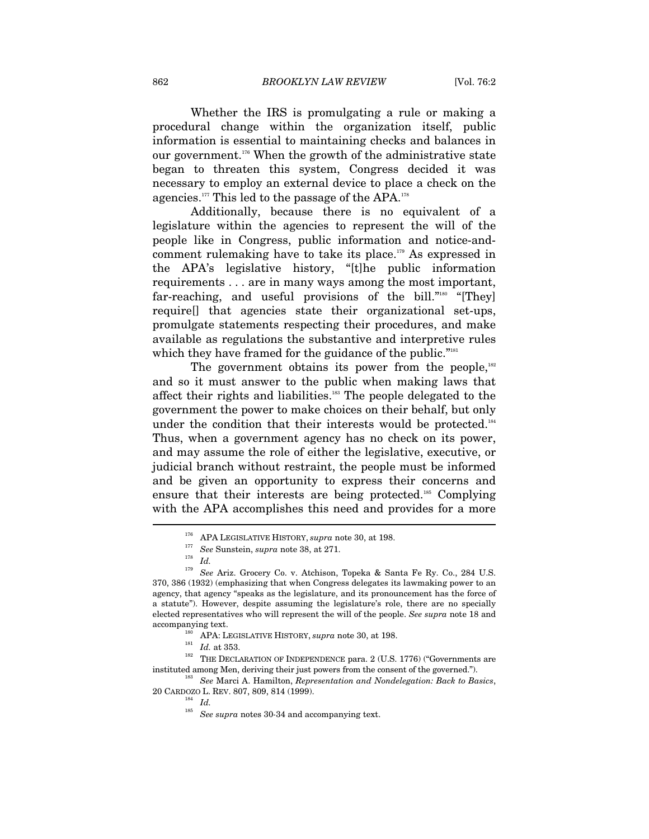Whether the IRS is promulgating a rule or making a procedural change within the organization itself, public information is essential to maintaining checks and balances in our government.<sup>176</sup> When the growth of the administrative state began to threaten this system, Congress decided it was necessary to employ an external device to place a check on the agencies.<sup>177</sup> This led to the passage of the APA.<sup>178</sup>

Additionally, because there is no equivalent of a legislature within the agencies to represent the will of the people like in Congress, public information and notice-andcomment rulemaking have to take its place.179 As expressed in the APA's legislative history, "[t]he public information requirements . . . are in many ways among the most important, far-reaching, and useful provisions of the bill."<sup>180</sup> "[They] require[] that agencies state their organizational set-ups, promulgate statements respecting their procedures, and make available as regulations the substantive and interpretive rules which they have framed for the guidance of the public."<sup>181</sup>

The government obtains its power from the people, $182$ and so it must answer to the public when making laws that affect their rights and liabilities.183 The people delegated to the government the power to make choices on their behalf, but only under the condition that their interests would be protected.<sup>184</sup> Thus, when a government agency has no check on its power, and may assume the role of either the legislative, executive, or judicial branch without restraint, the people must be informed and be given an opportunity to express their concerns and ensure that their interests are being protected.185 Complying with the APA accomplishes this need and provides for a more  $\overline{a}$ 

<sup>&</sup>lt;sup>176</sup> APA LEGISLATIVE HISTORY, *supra* note 30, at 198.<br><sup>177</sup> See Sunstein, *supra* note 38, at 271.<br>*Id. I*<sub>179</sub> *I*<sub>2</sub> *I*<sub>2</sub> **I**<sub>2</sub> **I**<sub>2</sub> **I**<sub>2</sub> **I**<sub>2</sub> **I**<sub>2</sub> **I**<sub>2</sub> **I**<sub>2</sub> **I**<sub>2</sub> **I**<sub>2</sub> **I**<sub>2</sub> **I**<sub>2</sub> **I**<sub>2</sub> **I**<sub>2</sub>

<sup>179</sup> *See* Ariz. Grocery Co. v. Atchison, Topeka & Santa Fe Ry. Co., 284 U.S. 370, 386 (1932) (emphasizing that when Congress delegates its lawmaking power to an agency, that agency "speaks as the legislature, and its pronouncement has the force of a statute"). However, despite assuming the legislature's role, there are no specially elected representatives who will represent the will of the people. *See supra* note 18 and

accompanying text.<br><sup>180</sup> APA: LEGISLATIVE HISTORY, *supra* note 30, at 198.<br><sup>181</sup> *Id.* at 353. THE DECLARATION OF INDEPENDENCE para. 2 (U.S. 1776) ("Governments are instituted among Men, deriving their just powers from the consent of the governed."). 183 *See* Marci A. Hamilton, *Representation and Nondelegation: Back to Basics*,

<sup>20</sup> CARDOZO L. REV. 807, 809, 814 (1999).

 $^{184} \;\; Id.$ 

<sup>185</sup> *See supra* notes 30*-*34 and accompanying text.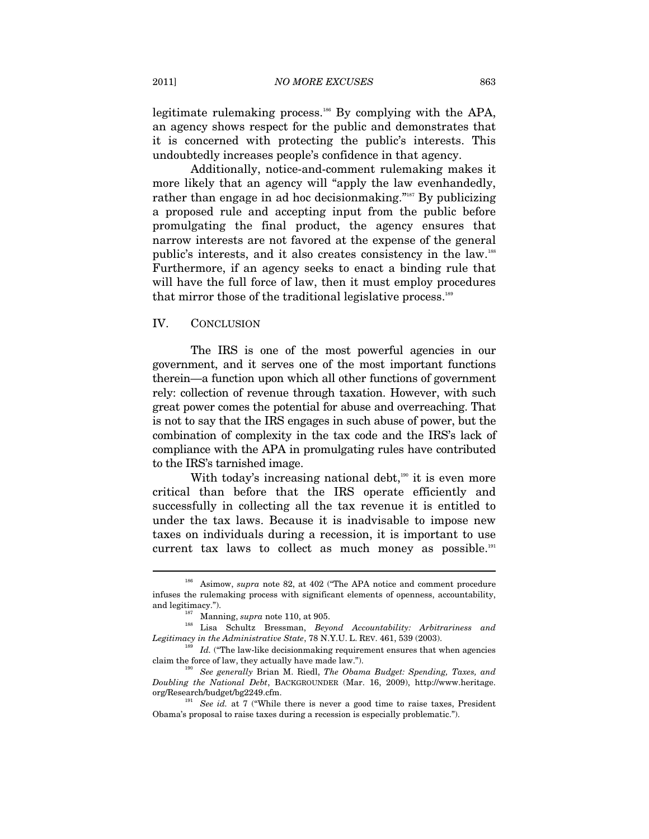legitimate rulemaking process.<sup>186</sup> By complying with the APA, an agency shows respect for the public and demonstrates that it is concerned with protecting the public's interests. This undoubtedly increases people's confidence in that agency.

Additionally, notice-and-comment rulemaking makes it more likely that an agency will "apply the law evenhandedly, rather than engage in ad hoc decisionmaking."<sup>187</sup> By publicizing a proposed rule and accepting input from the public before promulgating the final product, the agency ensures that narrow interests are not favored at the expense of the general public's interests, and it also creates consistency in the law.188 Furthermore, if an agency seeks to enact a binding rule that will have the full force of law, then it must employ procedures that mirror those of the traditional legislative process.<sup>189</sup>

#### IV. CONCLUSION

 $\overline{a}$ 

The IRS is one of the most powerful agencies in our government, and it serves one of the most important functions therein—a function upon which all other functions of government rely: collection of revenue through taxation. However, with such great power comes the potential for abuse and overreaching. That is not to say that the IRS engages in such abuse of power, but the combination of complexity in the tax code and the IRS's lack of compliance with the APA in promulgating rules have contributed to the IRS's tarnished image.

With today's increasing national debt, $190$  it is even more critical than before that the IRS operate efficiently and successfully in collecting all the tax revenue it is entitled to under the tax laws. Because it is inadvisable to impose new taxes on individuals during a recession, it is important to use current tax laws to collect as much money as possible.<sup>191</sup>

<sup>186</sup> Asimow, *supra* note 82, at 402 ("The APA notice and comment procedure infuses the rulemaking process with significant elements of openness, accountability,

<sup>&</sup>lt;sup>187</sup> Manning, *supra* note 110, at 905.<br><sup>188</sup> Lisa Schultz Bressman, *Beyond Accountability: Arbitrariness and Legitimacy in the Administrative State*, 78 N.Y.U. L. REV. 461, 539 (2003).

*Id.* ("The law-like decisionmaking requirement ensures that when agencies claim the force of law, they actually have made law."). 190 *See generally* Brian M. Riedl, *The Obama Budget: Spending, Taxes, and* 

*Doubling the National Debt*, BACKGROUNDER (Mar. 16, 2009), http://www.heritage.

<sup>&</sup>lt;sup>191</sup> See *id.* at 7 ("While there is never a good time to raise taxes, President Obama's proposal to raise taxes during a recession is especially problematic.").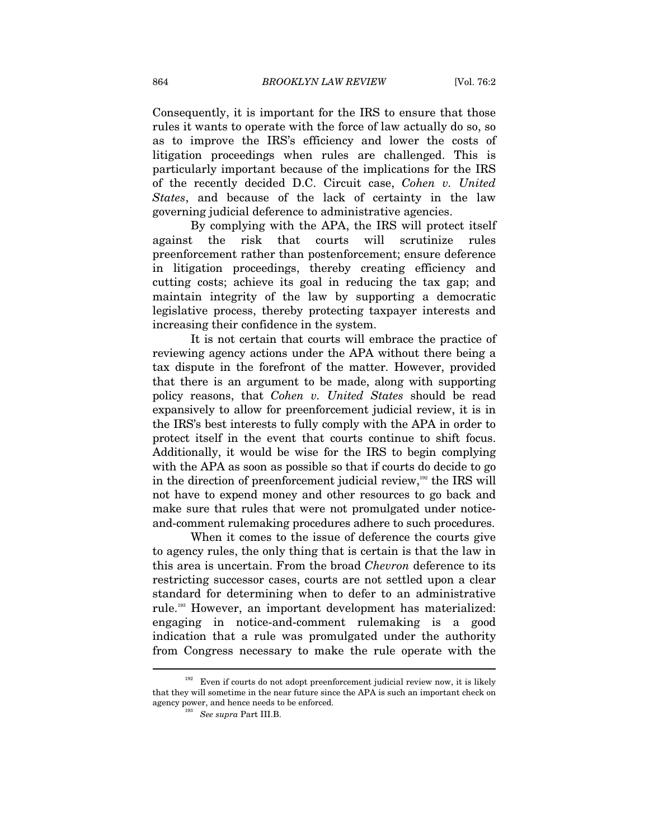Consequently, it is important for the IRS to ensure that those rules it wants to operate with the force of law actually do so, so as to improve the IRS's efficiency and lower the costs of litigation proceedings when rules are challenged. This is particularly important because of the implications for the IRS of the recently decided D.C. Circuit case, *Cohen v. United States*, and because of the lack of certainty in the law governing judicial deference to administrative agencies.

By complying with the APA, the IRS will protect itself against the risk that courts will scrutinize rules preenforcement rather than postenforcement; ensure deference in litigation proceedings, thereby creating efficiency and cutting costs; achieve its goal in reducing the tax gap; and maintain integrity of the law by supporting a democratic legislative process, thereby protecting taxpayer interests and increasing their confidence in the system.

It is not certain that courts will embrace the practice of reviewing agency actions under the APA without there being a tax dispute in the forefront of the matter. However, provided that there is an argument to be made, along with supporting policy reasons, that *Cohen v. United States* should be read expansively to allow for preenforcement judicial review, it is in the IRS's best interests to fully comply with the APA in order to protect itself in the event that courts continue to shift focus. Additionally, it would be wise for the IRS to begin complying with the APA as soon as possible so that if courts do decide to go in the direction of preenforcement judicial review,<sup>192</sup> the IRS will not have to expend money and other resources to go back and make sure that rules that were not promulgated under noticeand-comment rulemaking procedures adhere to such procedures.

When it comes to the issue of deference the courts give to agency rules, the only thing that is certain is that the law in this area is uncertain. From the broad *Chevron* deference to its restricting successor cases, courts are not settled upon a clear standard for determining when to defer to an administrative rule.<sup>193</sup> However, an important development has materialized: engaging in notice-and-comment rulemaking is a good indication that a rule was promulgated under the authority from Congress necessary to make the rule operate with the

 $192$  Even if courts do not adopt preenforcement judicial review now, it is likely that they will sometime in the near future since the APA is such an important check on agency power, and hence needs to be enforced. 193 *See supra* Part III.B.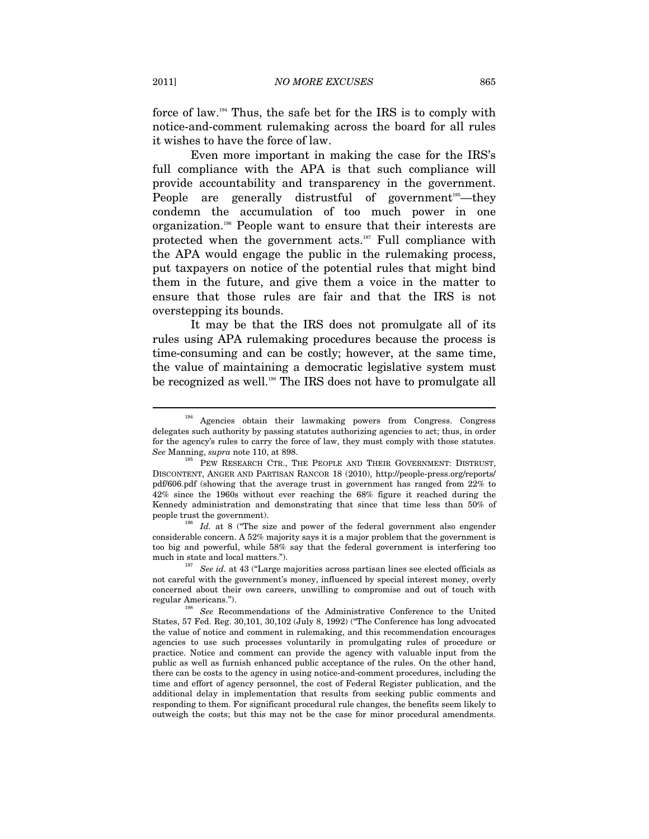force of law.194 Thus, the safe bet for the IRS is to comply with notice-and-comment rulemaking across the board for all rules it wishes to have the force of law.

Even more important in making the case for the IRS's full compliance with the APA is that such compliance will provide accountability and transparency in the government. People are generally distrustful of government<sup>195</sup>—they condemn the accumulation of too much power in one organization.196 People want to ensure that their interests are protected when the government acts.197 Full compliance with the APA would engage the public in the rulemaking process, put taxpayers on notice of the potential rules that might bind them in the future, and give them a voice in the matter to ensure that those rules are fair and that the IRS is not overstepping its bounds.

It may be that the IRS does not promulgate all of its rules using APA rulemaking procedures because the process is time-consuming and can be costly; however, at the same time, the value of maintaining a democratic legislative system must be recognized as well.<sup>198</sup> The IRS does not have to promulgate all

<sup>&</sup>lt;sup>194</sup> Agencies obtain their lawmaking powers from Congress. Congress delegates such authority by passing statutes authorizing agencies to act; thus, in order for the agency's rules to carry the force of law, they must comply with those statutes. *See* Manning, *supra* note 110, at 898. 195 PEW RESEARCH CTR., THE PEOPLE AND THEIR GOVERNMENT: DISTRUST,

DISCONTENT, ANGER AND PARTISAN RANCOR 18 (2010), http://people-press.org/reports/ pdf/606.pdf (showing that the average trust in government has ranged from 22% to 42% since the 1960s without ever reaching the 68% figure it reached during the Kennedy administration and demonstrating that since that time less than 50% of

people trust the government).  $Id.$  at 8 ("The size and power of the federal government also engender considerable concern. A 52% majority says it is a major problem that the government is too big and powerful, while 58% say that the federal government is interfering too

much in state and local matters."). 197 *See id.* at 43 ("Large majorities across partisan lines see elected officials as not careful with the government's money, influenced by special interest money, overly concerned about their own careers, unwilling to compromise and out of touch with

regular Americans."). 198 *See* Recommendations of the Administrative Conference to the United States, 57 Fed. Reg. 30,101, 30,102 (July 8, 1992) ("The Conference has long advocated the value of notice and comment in rulemaking, and this recommendation encourages agencies to use such processes voluntarily in promulgating rules of procedure or practice. Notice and comment can provide the agency with valuable input from the public as well as furnish enhanced public acceptance of the rules. On the other hand, there can be costs to the agency in using notice-and-comment procedures, including the time and effort of agency personnel, the cost of Federal Register publication, and the additional delay in implementation that results from seeking public comments and responding to them. For significant procedural rule changes, the benefits seem likely to outweigh the costs; but this may not be the case for minor procedural amendments.